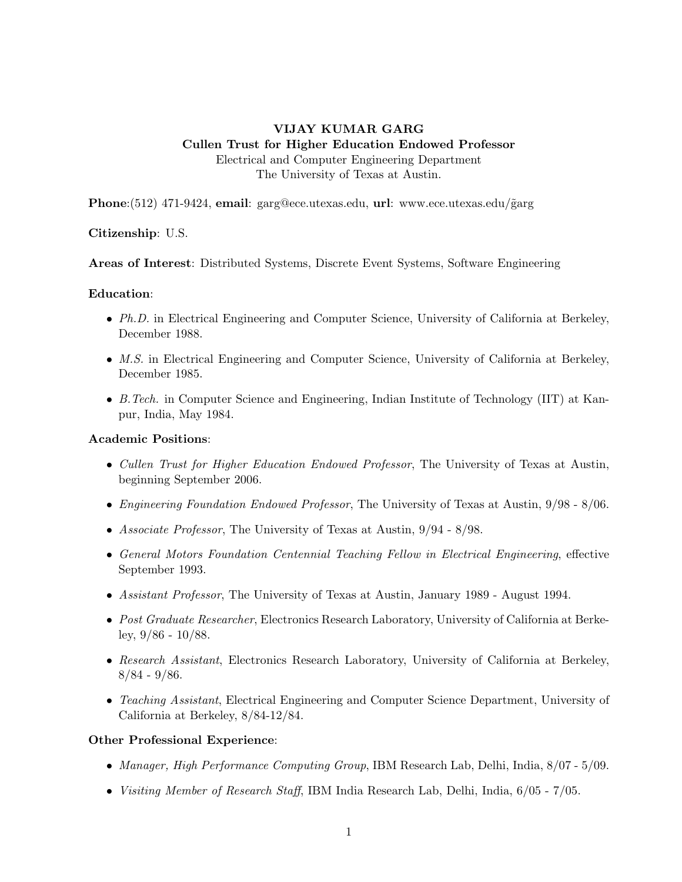# VIJAY KUMAR GARG Cullen Trust for Higher Education Endowed Professor Electrical and Computer Engineering Department The University of Texas at Austin.

Phone: $(512)$  471-9424, email: garg@ece.utexas.edu, url: www.ece.utexas.edu/ $\tilde{g}$ arg

## Citizenship: U.S.

Areas of Interest: Distributed Systems, Discrete Event Systems, Software Engineering

## Education:

- Ph.D. in Electrical Engineering and Computer Science, University of California at Berkeley, December 1988.
- *M.S.* in Electrical Engineering and Computer Science, University of California at Berkeley, December 1985.
- B.Tech. in Computer Science and Engineering, Indian Institute of Technology (IIT) at Kanpur, India, May 1984.

## Academic Positions:

- Cullen Trust for Higher Education Endowed Professor, The University of Texas at Austin, beginning September 2006.
- Engineering Foundation Endowed Professor, The University of Texas at Austin, 9/98 8/06.
- Associate Professor, The University of Texas at Austin, 9/94 8/98.
- General Motors Foundation Centennial Teaching Fellow in Electrical Engineering, effective September 1993.
- Assistant Professor, The University of Texas at Austin, January 1989 August 1994.
- Post Graduate Researcher, Electronics Research Laboratory, University of California at Berkeley,  $9/86 - 10/88$ .
- Research Assistant, Electronics Research Laboratory, University of California at Berkeley, 8/84 - 9/86.
- Teaching Assistant, Electrical Engineering and Computer Science Department, University of California at Berkeley, 8/84-12/84.

## Other Professional Experience:

- Manager, High Performance Computing Group, IBM Research Lab, Delhi, India,  $8/07 5/09$ .
- Visiting Member of Research Staff, IBM India Research Lab, Delhi, India, 6/05 7/05.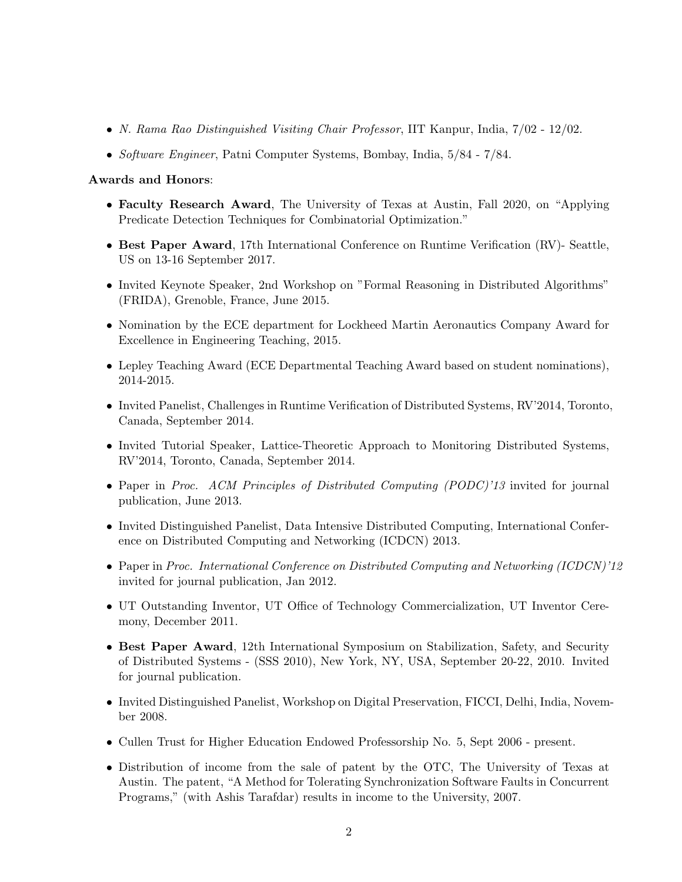- N. Rama Rao Distinguished Visiting Chair Professor, IIT Kanpur, India, 7/02 12/02.
- Software Engineer, Patni Computer Systems, Bombay, India, 5/84 7/84.

## Awards and Honors:

- Faculty Research Award, The University of Texas at Austin, Fall 2020, on "Applying Predicate Detection Techniques for Combinatorial Optimization."
- Best Paper Award, 17th International Conference on Runtime Verification (RV)- Seattle, US on 13-16 September 2017.
- Invited Keynote Speaker, 2nd Workshop on "Formal Reasoning in Distributed Algorithms" (FRIDA), Grenoble, France, June 2015.
- Nomination by the ECE department for Lockheed Martin Aeronautics Company Award for Excellence in Engineering Teaching, 2015.
- Lepley Teaching Award (ECE Departmental Teaching Award based on student nominations), 2014-2015.
- Invited Panelist, Challenges in Runtime Verification of Distributed Systems, RV'2014, Toronto, Canada, September 2014.
- Invited Tutorial Speaker, Lattice-Theoretic Approach to Monitoring Distributed Systems, RV'2014, Toronto, Canada, September 2014.
- Paper in Proc. ACM Principles of Distributed Computing (PODC)'13 invited for journal publication, June 2013.
- Invited Distinguished Panelist, Data Intensive Distributed Computing, International Conference on Distributed Computing and Networking (ICDCN) 2013.
- Paper in Proc. International Conference on Distributed Computing and Networking (ICDCN)'12 invited for journal publication, Jan 2012.
- UT Outstanding Inventor, UT Office of Technology Commercialization, UT Inventor Ceremony, December 2011.
- Best Paper Award, 12th International Symposium on Stabilization, Safety, and Security of Distributed Systems - (SSS 2010), New York, NY, USA, September 20-22, 2010. Invited for journal publication.
- Invited Distinguished Panelist, Workshop on Digital Preservation, FICCI, Delhi, India, November 2008.
- Cullen Trust for Higher Education Endowed Professorship No. 5, Sept 2006 present.
- Distribution of income from the sale of patent by the OTC, The University of Texas at Austin. The patent, "A Method for Tolerating Synchronization Software Faults in Concurrent Programs," (with Ashis Tarafdar) results in income to the University, 2007.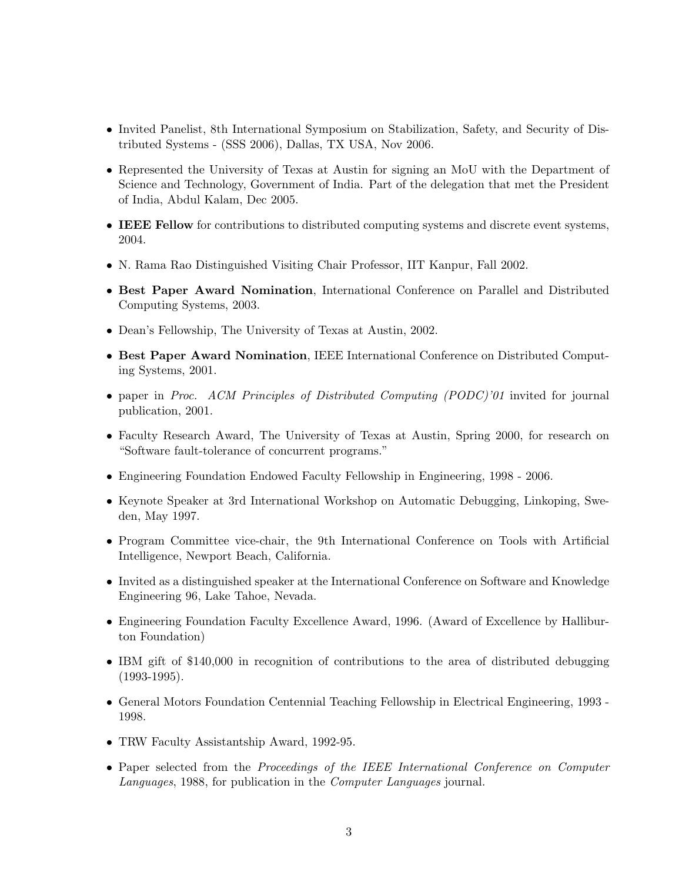- Invited Panelist, 8th International Symposium on Stabilization, Safety, and Security of Distributed Systems - (SSS 2006), Dallas, TX USA, Nov 2006.
- Represented the University of Texas at Austin for signing an MoU with the Department of Science and Technology, Government of India. Part of the delegation that met the President of India, Abdul Kalam, Dec 2005.
- **IEEE Fellow** for contributions to distributed computing systems and discrete event systems, 2004.
- N. Rama Rao Distinguished Visiting Chair Professor, IIT Kanpur, Fall 2002.
- Best Paper Award Nomination, International Conference on Parallel and Distributed Computing Systems, 2003.
- Dean's Fellowship, The University of Texas at Austin, 2002.
- Best Paper Award Nomination, IEEE International Conference on Distributed Computing Systems, 2001.
- paper in Proc. ACM Principles of Distributed Computing (PODC)'01 invited for journal publication, 2001.
- Faculty Research Award, The University of Texas at Austin, Spring 2000, for research on "Software fault-tolerance of concurrent programs."
- Engineering Foundation Endowed Faculty Fellowship in Engineering, 1998 2006.
- Keynote Speaker at 3rd International Workshop on Automatic Debugging, Linkoping, Sweden, May 1997.
- Program Committee vice-chair, the 9th International Conference on Tools with Artificial Intelligence, Newport Beach, California.
- Invited as a distinguished speaker at the International Conference on Software and Knowledge Engineering 96, Lake Tahoe, Nevada.
- Engineering Foundation Faculty Excellence Award, 1996. (Award of Excellence by Halliburton Foundation)
- IBM gift of \$140,000 in recognition of contributions to the area of distributed debugging (1993-1995).
- General Motors Foundation Centennial Teaching Fellowship in Electrical Engineering, 1993 1998.
- TRW Faculty Assistantship Award, 1992-95.
- Paper selected from the *Proceedings of the IEEE International Conference on Computer* Languages, 1988, for publication in the Computer Languages journal.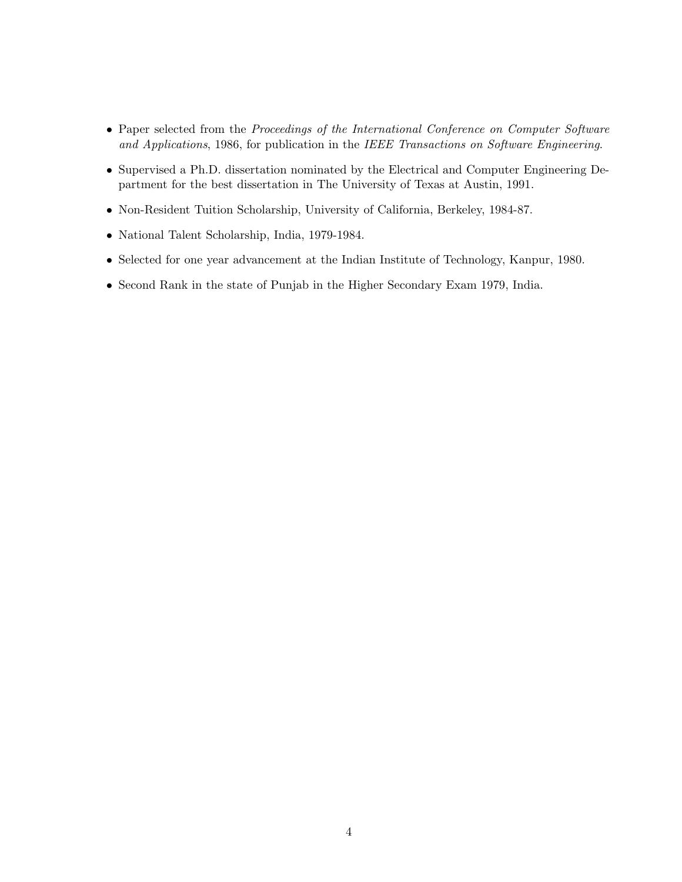- Paper selected from the Proceedings of the International Conference on Computer Software and Applications, 1986, for publication in the IEEE Transactions on Software Engineering.
- Supervised a Ph.D. dissertation nominated by the Electrical and Computer Engineering Department for the best dissertation in The University of Texas at Austin, 1991.
- Non-Resident Tuition Scholarship, University of California, Berkeley, 1984-87.
- National Talent Scholarship, India, 1979-1984.
- Selected for one year advancement at the Indian Institute of Technology, Kanpur, 1980.
- Second Rank in the state of Punjab in the Higher Secondary Exam 1979, India.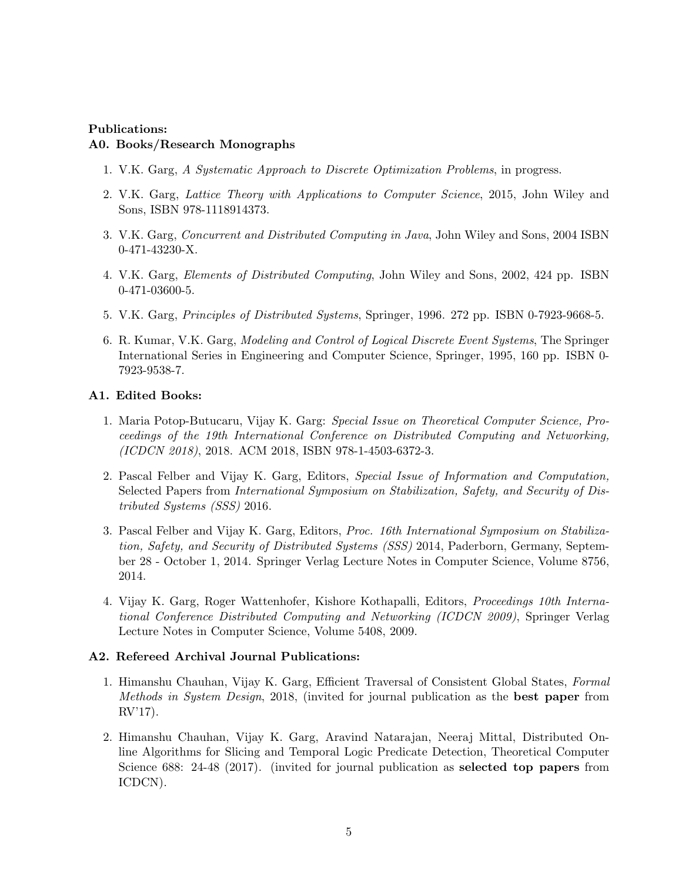## Publications: A0. Books/Research Monographs

- 1. V.K. Garg, A Systematic Approach to Discrete Optimization Problems, in progress.
- 2. V.K. Garg, Lattice Theory with Applications to Computer Science, 2015, John Wiley and Sons, ISBN 978-1118914373.
- 3. V.K. Garg, Concurrent and Distributed Computing in Java, John Wiley and Sons, 2004 ISBN 0-471-43230-X.
- 4. V.K. Garg, Elements of Distributed Computing, John Wiley and Sons, 2002, 424 pp. ISBN 0-471-03600-5.
- 5. V.K. Garg, Principles of Distributed Systems, Springer, 1996. 272 pp. ISBN 0-7923-9668-5.
- 6. R. Kumar, V.K. Garg, Modeling and Control of Logical Discrete Event Systems, The Springer International Series in Engineering and Computer Science, Springer, 1995, 160 pp. ISBN 0- 7923-9538-7.

### A1. Edited Books:

- 1. Maria Potop-Butucaru, Vijay K. Garg: Special Issue on Theoretical Computer Science, Proceedings of the 19th International Conference on Distributed Computing and Networking, (ICDCN 2018), 2018. ACM 2018, ISBN 978-1-4503-6372-3.
- 2. Pascal Felber and Vijay K. Garg, Editors, Special Issue of Information and Computation, Selected Papers from International Symposium on Stabilization, Safety, and Security of Distributed Systems (SSS) 2016.
- 3. Pascal Felber and Vijay K. Garg, Editors, Proc. 16th International Symposium on Stabilization, Safety, and Security of Distributed Systems (SSS) 2014, Paderborn, Germany, September 28 - October 1, 2014. Springer Verlag Lecture Notes in Computer Science, Volume 8756, 2014.
- 4. Vijay K. Garg, Roger Wattenhofer, Kishore Kothapalli, Editors, Proceedings 10th International Conference Distributed Computing and Networking (ICDCN 2009), Springer Verlag Lecture Notes in Computer Science, Volume 5408, 2009.

### A2. Refereed Archival Journal Publications:

- 1. Himanshu Chauhan, Vijay K. Garg, Efficient Traversal of Consistent Global States, Formal Methods in System Design, 2018, (invited for journal publication as the best paper from RV'17).
- 2. Himanshu Chauhan, Vijay K. Garg, Aravind Natarajan, Neeraj Mittal, Distributed Online Algorithms for Slicing and Temporal Logic Predicate Detection, Theoretical Computer Science 688: 24-48 (2017). (invited for journal publication as **selected top papers** from ICDCN).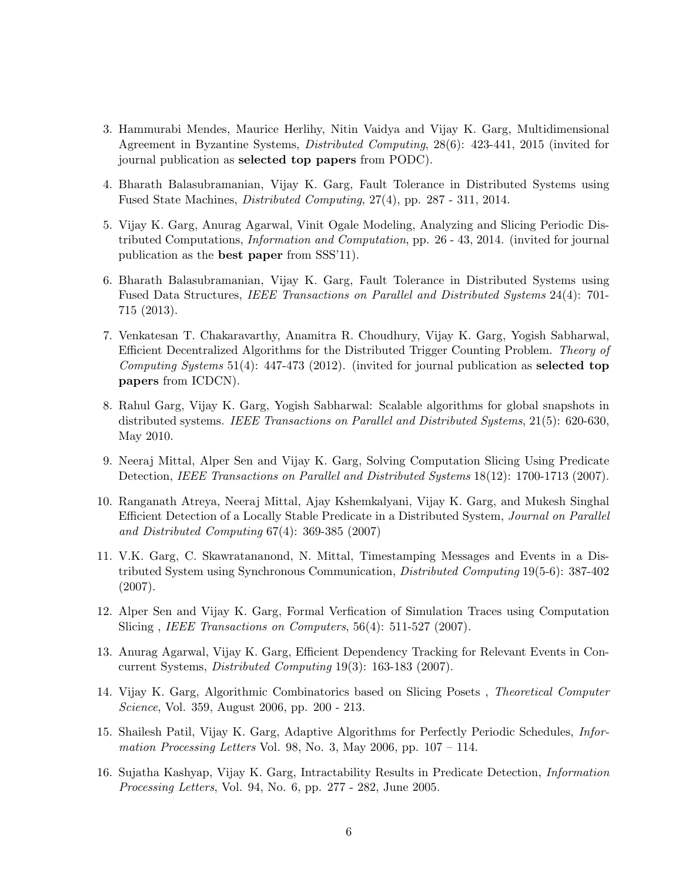- 3. Hammurabi Mendes, Maurice Herlihy, Nitin Vaidya and Vijay K. Garg, Multidimensional Agreement in Byzantine Systems, Distributed Computing, 28(6): 423-441, 2015 (invited for journal publication as selected top papers from PODC).
- 4. Bharath Balasubramanian, Vijay K. Garg, Fault Tolerance in Distributed Systems using Fused State Machines, Distributed Computing, 27(4), pp. 287 - 311, 2014.
- 5. Vijay K. Garg, Anurag Agarwal, Vinit Ogale Modeling, Analyzing and Slicing Periodic Distributed Computations, Information and Computation, pp. 26 - 43, 2014. (invited for journal publication as the best paper from SSS'11).
- 6. Bharath Balasubramanian, Vijay K. Garg, Fault Tolerance in Distributed Systems using Fused Data Structures, IEEE Transactions on Parallel and Distributed Systems 24(4): 701- 715 (2013).
- 7. Venkatesan T. Chakaravarthy, Anamitra R. Choudhury, Vijay K. Garg, Yogish Sabharwal, Efficient Decentralized Algorithms for the Distributed Trigger Counting Problem. Theory of Computing Systems 51(4): 447-473 (2012). (invited for journal publication as selected top papers from ICDCN).
- 8. Rahul Garg, Vijay K. Garg, Yogish Sabharwal: Scalable algorithms for global snapshots in distributed systems. IEEE Transactions on Parallel and Distributed Systems, 21(5): 620-630, May 2010.
- 9. Neeraj Mittal, Alper Sen and Vijay K. Garg, Solving Computation Slicing Using Predicate Detection, IEEE Transactions on Parallel and Distributed Systems 18(12): 1700-1713 (2007).
- 10. Ranganath Atreya, Neeraj Mittal, Ajay Kshemkalyani, Vijay K. Garg, and Mukesh Singhal Efficient Detection of a Locally Stable Predicate in a Distributed System, Journal on Parallel and Distributed Computing 67(4): 369-385 (2007)
- 11. V.K. Garg, C. Skawratananond, N. Mittal, Timestamping Messages and Events in a Distributed System using Synchronous Communication, Distributed Computing 19(5-6): 387-402 (2007).
- 12. Alper Sen and Vijay K. Garg, Formal Verfication of Simulation Traces using Computation Slicing, *IEEE Transactions on Computers*, 56(4): 511-527 (2007).
- 13. Anurag Agarwal, Vijay K. Garg, Efficient Dependency Tracking for Relevant Events in Concurrent Systems, Distributed Computing 19(3): 163-183 (2007).
- 14. Vijay K. Garg, Algorithmic Combinatorics based on Slicing Posets , Theoretical Computer Science, Vol. 359, August 2006, pp. 200 - 213.
- 15. Shailesh Patil, Vijay K. Garg, Adaptive Algorithms for Perfectly Periodic Schedules, Information Processing Letters Vol. 98, No. 3, May 2006, pp.  $107 - 114$ .
- 16. Sujatha Kashyap, Vijay K. Garg, Intractability Results in Predicate Detection, Information Processing Letters, Vol. 94, No. 6, pp. 277 - 282, June 2005.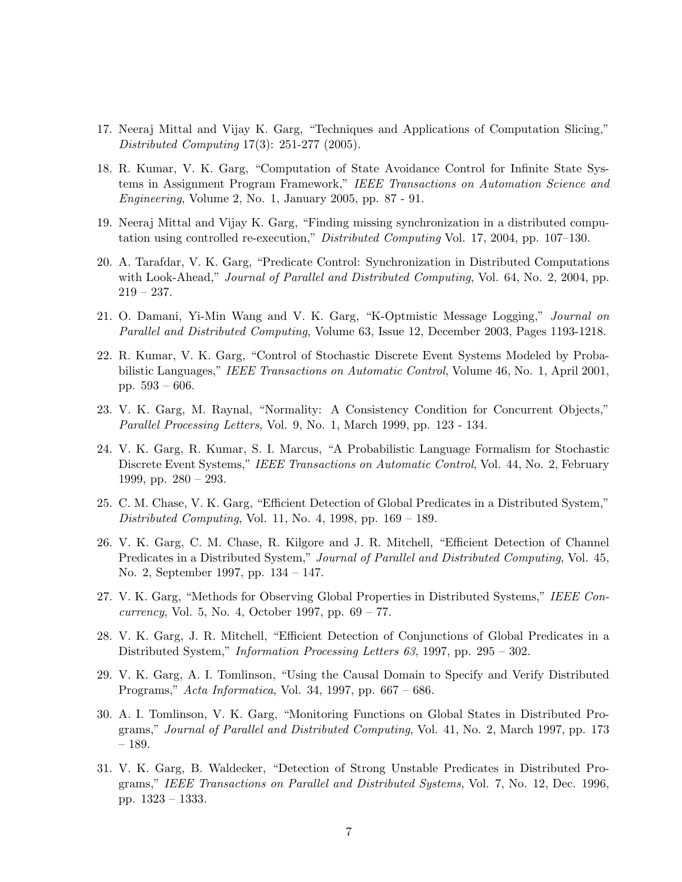- 17. Neeraj Mittal and Vijay K. Garg, "Techniques and Applications of Computation Slicing," Distributed Computing 17(3): 251-277 (2005).
- 18. R. Kumar, V. K. Garg, "Computation of State Avoidance Control for Infinite State Systems in Assignment Program Framework," IEEE Transactions on Automation Science and Engineering, Volume 2, No. 1, January 2005, pp. 87 - 91.
- 19. Neeraj Mittal and Vijay K. Garg, "Finding missing synchronization in a distributed computation using controlled re-execution," Distributed Computing Vol. 17, 2004, pp. 107–130.
- 20. A. Tarafdar, V. K. Garg, "Predicate Control: Synchronization in Distributed Computations with Look-Ahead," *Journal of Parallel and Distributed Computing*, Vol. 64, No. 2, 2004, pp. 219 – 237.
- 21. O. Damani, Yi-Min Wang and V. K. Garg, "K-Optmistic Message Logging," Journal on Parallel and Distributed Computing, Volume 63, Issue 12, December 2003, Pages 1193-1218.
- 22. R. Kumar, V. K. Garg, "Control of Stochastic Discrete Event Systems Modeled by Probabilistic Languages," IEEE Transactions on Automatic Control, Volume 46, No. 1, April 2001, pp. 593 – 606.
- 23. V. K. Garg, M. Raynal, "Normality: A Consistency Condition for Concurrent Objects," Parallel Processing Letters, Vol. 9, No. 1, March 1999, pp. 123 - 134.
- 24. V. K. Garg, R. Kumar, S. I. Marcus, "A Probabilistic Language Formalism for Stochastic Discrete Event Systems," IEEE Transactions on Automatic Control, Vol. 44, No. 2, February 1999, pp. 280 – 293.
- 25. C. M. Chase, V. K. Garg, "Efficient Detection of Global Predicates in a Distributed System," Distributed Computing, Vol. 11, No. 4, 1998, pp. 169 – 189.
- 26. V. K. Garg, C. M. Chase, R. Kilgore and J. R. Mitchell, "Efficient Detection of Channel Predicates in a Distributed System," Journal of Parallel and Distributed Computing, Vol. 45, No. 2, September 1997, pp. 134 – 147.
- 27. V. K. Garg, "Methods for Observing Global Properties in Distributed Systems," IEEE Concurrency, Vol. 5, No. 4, October 1997, pp. 69 – 77.
- 28. V. K. Garg, J. R. Mitchell, "Efficient Detection of Conjunctions of Global Predicates in a Distributed System," Information Processing Letters 63, 1997, pp. 295 – 302.
- 29. V. K. Garg, A. I. Tomlinson, "Using the Causal Domain to Specify and Verify Distributed Programs," Acta Informatica, Vol. 34, 1997, pp. 667 – 686.
- 30. A. I. Tomlinson, V. K. Garg, "Monitoring Functions on Global States in Distributed Programs," Journal of Parallel and Distributed Computing, Vol. 41, No. 2, March 1997, pp. 173 – 189.
- 31. V. K. Garg, B. Waldecker, "Detection of Strong Unstable Predicates in Distributed Programs," IEEE Transactions on Parallel and Distributed Systems, Vol. 7, No. 12, Dec. 1996, pp. 1323 – 1333.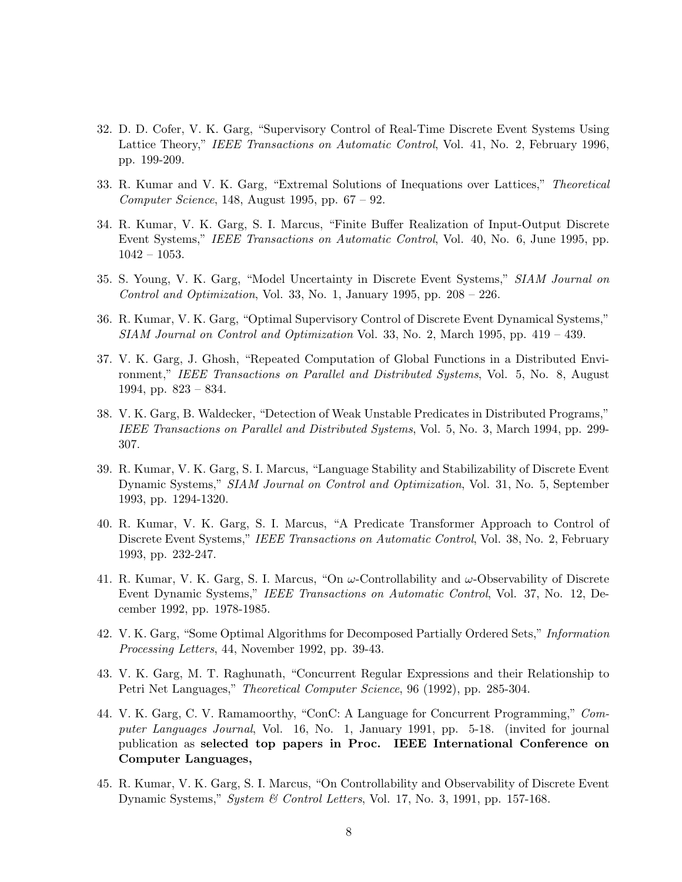- 32. D. D. Cofer, V. K. Garg, "Supervisory Control of Real-Time Discrete Event Systems Using Lattice Theory," IEEE Transactions on Automatic Control, Vol. 41, No. 2, February 1996, pp. 199-209.
- 33. R. Kumar and V. K. Garg, "Extremal Solutions of Inequations over Lattices," Theoretical  $Computer Science, 148, August 1995, pp. 67-92.$
- 34. R. Kumar, V. K. Garg, S. I. Marcus, "Finite Buffer Realization of Input-Output Discrete Event Systems," IEEE Transactions on Automatic Control, Vol. 40, No. 6, June 1995, pp. 1042 – 1053.
- 35. S. Young, V. K. Garg, "Model Uncertainty in Discrete Event Systems," SIAM Journal on Control and Optimization, Vol. 33, No. 1, January 1995, pp.  $208 - 226$ .
- 36. R. Kumar, V. K. Garg, "Optimal Supervisory Control of Discrete Event Dynamical Systems," SIAM Journal on Control and Optimization Vol. 33, No. 2, March 1995, pp. 419 – 439.
- 37. V. K. Garg, J. Ghosh, "Repeated Computation of Global Functions in a Distributed Environment," IEEE Transactions on Parallel and Distributed Systems, Vol. 5, No. 8, August 1994, pp. 823 – 834.
- 38. V. K. Garg, B. Waldecker, "Detection of Weak Unstable Predicates in Distributed Programs," IEEE Transactions on Parallel and Distributed Systems, Vol. 5, No. 3, March 1994, pp. 299- 307.
- 39. R. Kumar, V. K. Garg, S. I. Marcus, "Language Stability and Stabilizability of Discrete Event Dynamic Systems," SIAM Journal on Control and Optimization, Vol. 31, No. 5, September 1993, pp. 1294-1320.
- 40. R. Kumar, V. K. Garg, S. I. Marcus, "A Predicate Transformer Approach to Control of Discrete Event Systems," IEEE Transactions on Automatic Control, Vol. 38, No. 2, February 1993, pp. 232-247.
- 41. R. Kumar, V. K. Garg, S. I. Marcus, "On  $\omega$ -Controllability and  $\omega$ -Observability of Discrete Event Dynamic Systems," IEEE Transactions on Automatic Control, Vol. 37, No. 12, December 1992, pp. 1978-1985.
- 42. V. K. Garg, "Some Optimal Algorithms for Decomposed Partially Ordered Sets," Information Processing Letters, 44, November 1992, pp. 39-43.
- 43. V. K. Garg, M. T. Raghunath, "Concurrent Regular Expressions and their Relationship to Petri Net Languages," Theoretical Computer Science, 96 (1992), pp. 285-304.
- 44. V. K. Garg, C. V. Ramamoorthy, "ConC: A Language for Concurrent Programming," Computer Languages Journal, Vol. 16, No. 1, January 1991, pp. 5-18. (invited for journal publication as selected top papers in Proc. IEEE International Conference on Computer Languages,
- 45. R. Kumar, V. K. Garg, S. I. Marcus, "On Controllability and Observability of Discrete Event Dynamic Systems," System & Control Letters, Vol. 17, No. 3, 1991, pp. 157-168.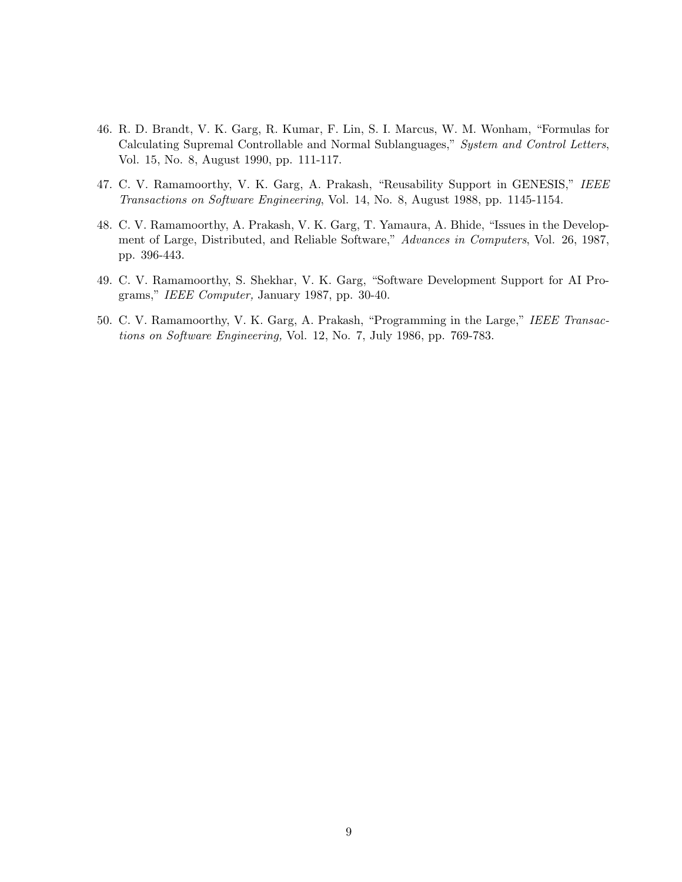- 46. R. D. Brandt, V. K. Garg, R. Kumar, F. Lin, S. I. Marcus, W. M. Wonham, "Formulas for Calculating Supremal Controllable and Normal Sublanguages," System and Control Letters, Vol. 15, No. 8, August 1990, pp. 111-117.
- 47. C. V. Ramamoorthy, V. K. Garg, A. Prakash, "Reusability Support in GENESIS," IEEE Transactions on Software Engineering, Vol. 14, No. 8, August 1988, pp. 1145-1154.
- 48. C. V. Ramamoorthy, A. Prakash, V. K. Garg, T. Yamaura, A. Bhide, "Issues in the Development of Large, Distributed, and Reliable Software," Advances in Computers, Vol. 26, 1987, pp. 396-443.
- 49. C. V. Ramamoorthy, S. Shekhar, V. K. Garg, "Software Development Support for AI Programs," IEEE Computer, January 1987, pp. 30-40.
- 50. C. V. Ramamoorthy, V. K. Garg, A. Prakash, "Programming in the Large," IEEE Transactions on Software Engineering, Vol. 12, No. 7, July 1986, pp. 769-783.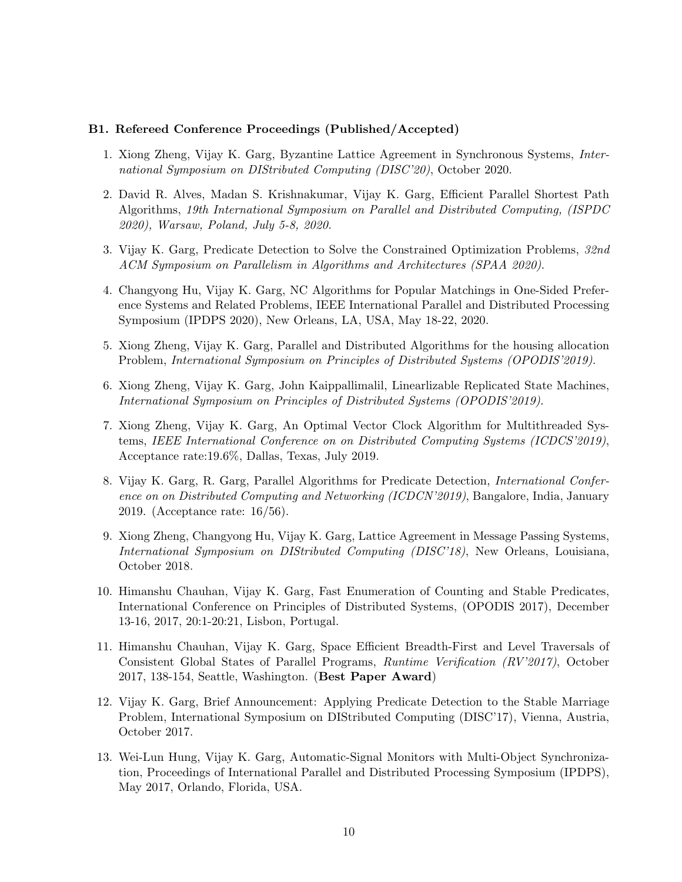#### B1. Refereed Conference Proceedings (Published/Accepted)

- 1. Xiong Zheng, Vijay K. Garg, Byzantine Lattice Agreement in Synchronous Systems, International Symposium on DIStributed Computing (DISC'20), October 2020.
- 2. David R. Alves, Madan S. Krishnakumar, Vijay K. Garg, Efficient Parallel Shortest Path Algorithms, 19th International Symposium on Parallel and Distributed Computing, (ISPDC 2020), Warsaw, Poland, July 5-8, 2020.
- 3. Vijay K. Garg, Predicate Detection to Solve the Constrained Optimization Problems, 32nd ACM Symposium on Parallelism in Algorithms and Architectures (SPAA 2020).
- 4. Changyong Hu, Vijay K. Garg, NC Algorithms for Popular Matchings in One-Sided Preference Systems and Related Problems, IEEE International Parallel and Distributed Processing Symposium (IPDPS 2020), New Orleans, LA, USA, May 18-22, 2020.
- 5. Xiong Zheng, Vijay K. Garg, Parallel and Distributed Algorithms for the housing allocation Problem, International Symposium on Principles of Distributed Systems (OPODIS'2019).
- 6. Xiong Zheng, Vijay K. Garg, John Kaippallimalil, Linearlizable Replicated State Machines, International Symposium on Principles of Distributed Systems (OPODIS'2019).
- 7. Xiong Zheng, Vijay K. Garg, An Optimal Vector Clock Algorithm for Multithreaded Systems, IEEE International Conference on on Distributed Computing Systems (ICDCS'2019), Acceptance rate:19.6%, Dallas, Texas, July 2019.
- 8. Vijay K. Garg, R. Garg, Parallel Algorithms for Predicate Detection, International Conference on on Distributed Computing and Networking (ICDCN'2019), Bangalore, India, January 2019. (Acceptance rate: 16/56).
- 9. Xiong Zheng, Changyong Hu, Vijay K. Garg, Lattice Agreement in Message Passing Systems, International Symposium on DIStributed Computing (DISC'18), New Orleans, Louisiana, October 2018.
- 10. Himanshu Chauhan, Vijay K. Garg, Fast Enumeration of Counting and Stable Predicates, International Conference on Principles of Distributed Systems, (OPODIS 2017), December 13-16, 2017, 20:1-20:21, Lisbon, Portugal.
- 11. Himanshu Chauhan, Vijay K. Garg, Space Efficient Breadth-First and Level Traversals of Consistent Global States of Parallel Programs, Runtime Verification (RV'2017), October 2017, 138-154, Seattle, Washington. (Best Paper Award)
- 12. Vijay K. Garg, Brief Announcement: Applying Predicate Detection to the Stable Marriage Problem, International Symposium on DIStributed Computing (DISC'17), Vienna, Austria, October 2017.
- 13. Wei-Lun Hung, Vijay K. Garg, Automatic-Signal Monitors with Multi-Object Synchronization, Proceedings of International Parallel and Distributed Processing Symposium (IPDPS), May 2017, Orlando, Florida, USA.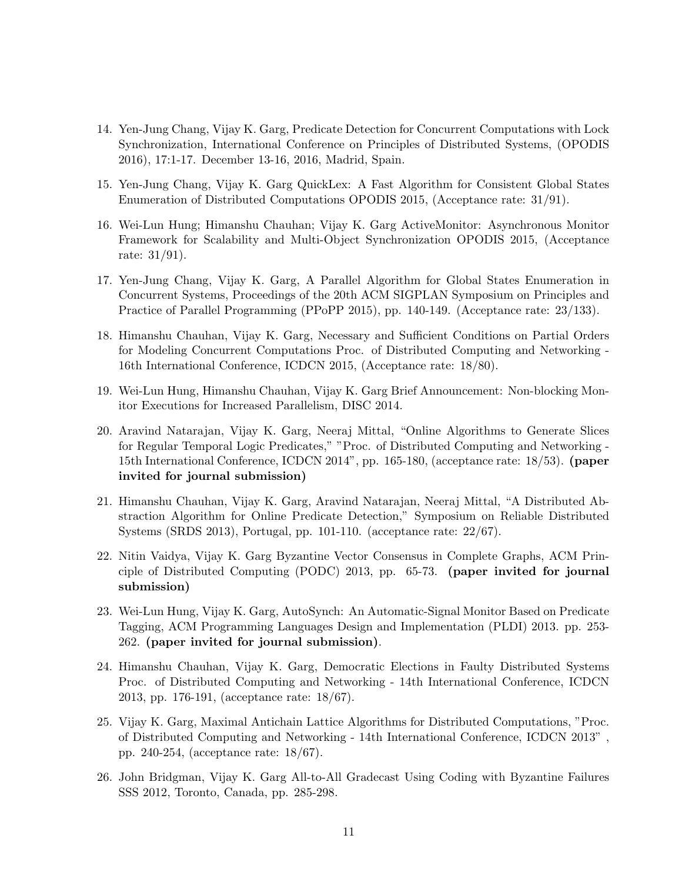- 14. Yen-Jung Chang, Vijay K. Garg, Predicate Detection for Concurrent Computations with Lock Synchronization, International Conference on Principles of Distributed Systems, (OPODIS 2016), 17:1-17. December 13-16, 2016, Madrid, Spain.
- 15. Yen-Jung Chang, Vijay K. Garg QuickLex: A Fast Algorithm for Consistent Global States Enumeration of Distributed Computations OPODIS 2015, (Acceptance rate: 31/91).
- 16. Wei-Lun Hung; Himanshu Chauhan; Vijay K. Garg ActiveMonitor: Asynchronous Monitor Framework for Scalability and Multi-Object Synchronization OPODIS 2015, (Acceptance rate: 31/91).
- 17. Yen-Jung Chang, Vijay K. Garg, A Parallel Algorithm for Global States Enumeration in Concurrent Systems, Proceedings of the 20th ACM SIGPLAN Symposium on Principles and Practice of Parallel Programming (PPoPP 2015), pp. 140-149. (Acceptance rate: 23/133).
- 18. Himanshu Chauhan, Vijay K. Garg, Necessary and Sufficient Conditions on Partial Orders for Modeling Concurrent Computations Proc. of Distributed Computing and Networking - 16th International Conference, ICDCN 2015, (Acceptance rate: 18/80).
- 19. Wei-Lun Hung, Himanshu Chauhan, Vijay K. Garg Brief Announcement: Non-blocking Monitor Executions for Increased Parallelism, DISC 2014.
- 20. Aravind Natarajan, Vijay K. Garg, Neeraj Mittal, "Online Algorithms to Generate Slices for Regular Temporal Logic Predicates," "Proc. of Distributed Computing and Networking - 15th International Conference, ICDCN 2014", pp. 165-180, (acceptance rate: 18/53). (paper invited for journal submission)
- 21. Himanshu Chauhan, Vijay K. Garg, Aravind Natarajan, Neeraj Mittal, "A Distributed Abstraction Algorithm for Online Predicate Detection," Symposium on Reliable Distributed Systems (SRDS 2013), Portugal, pp. 101-110. (acceptance rate: 22/67).
- 22. Nitin Vaidya, Vijay K. Garg Byzantine Vector Consensus in Complete Graphs, ACM Principle of Distributed Computing (PODC) 2013, pp. 65-73. (paper invited for journal submission)
- 23. Wei-Lun Hung, Vijay K. Garg, AutoSynch: An Automatic-Signal Monitor Based on Predicate Tagging, ACM Programming Languages Design and Implementation (PLDI) 2013. pp. 253- 262. (paper invited for journal submission).
- 24. Himanshu Chauhan, Vijay K. Garg, Democratic Elections in Faulty Distributed Systems Proc. of Distributed Computing and Networking - 14th International Conference, ICDCN 2013, pp. 176-191, (acceptance rate: 18/67).
- 25. Vijay K. Garg, Maximal Antichain Lattice Algorithms for Distributed Computations, "Proc. of Distributed Computing and Networking - 14th International Conference, ICDCN 2013" , pp. 240-254, (acceptance rate: 18/67).
- 26. John Bridgman, Vijay K. Garg All-to-All Gradecast Using Coding with Byzantine Failures SSS 2012, Toronto, Canada, pp. 285-298.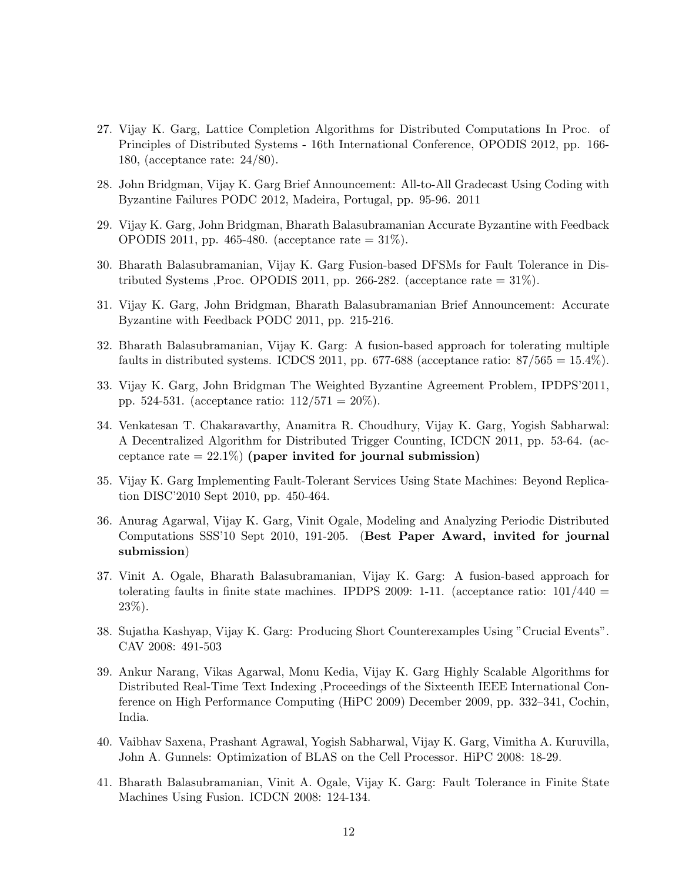- 27. Vijay K. Garg, Lattice Completion Algorithms for Distributed Computations In Proc. of Principles of Distributed Systems - 16th International Conference, OPODIS 2012, pp. 166- 180, (acceptance rate: 24/80).
- 28. John Bridgman, Vijay K. Garg Brief Announcement: All-to-All Gradecast Using Coding with Byzantine Failures PODC 2012, Madeira, Portugal, pp. 95-96. 2011
- 29. Vijay K. Garg, John Bridgman, Bharath Balasubramanian Accurate Byzantine with Feedback OPODIS 2011, pp. 465-480. (acceptance rate = 31%).
- 30. Bharath Balasubramanian, Vijay K. Garg Fusion-based DFSMs for Fault Tolerance in Distributed Systems ,Proc. OPODIS 2011, pp. 266-282. (acceptance rate  $= 31\%$ ).
- 31. Vijay K. Garg, John Bridgman, Bharath Balasubramanian Brief Announcement: Accurate Byzantine with Feedback PODC 2011, pp. 215-216.
- 32. Bharath Balasubramanian, Vijay K. Garg: A fusion-based approach for tolerating multiple faults in distributed systems. ICDCS 2011, pp. 677-688 (acceptance ratio:  $87/565 = 15.4\%$ ).
- 33. Vijay K. Garg, John Bridgman The Weighted Byzantine Agreement Problem, IPDPS'2011, pp. 524-531. (acceptance ratio:  $112/571 = 20\%$ ).
- 34. Venkatesan T. Chakaravarthy, Anamitra R. Choudhury, Vijay K. Garg, Yogish Sabharwal: A Decentralized Algorithm for Distributed Trigger Counting, ICDCN 2011, pp. 53-64. (acceptance rate  $= 22.1\%$ ) (paper invited for journal submission)
- 35. Vijay K. Garg Implementing Fault-Tolerant Services Using State Machines: Beyond Replication DISC'2010 Sept 2010, pp. 450-464.
- 36. Anurag Agarwal, Vijay K. Garg, Vinit Ogale, Modeling and Analyzing Periodic Distributed Computations SSS'10 Sept 2010, 191-205. (Best Paper Award, invited for journal submission)
- 37. Vinit A. Ogale, Bharath Balasubramanian, Vijay K. Garg: A fusion-based approach for tolerating faults in finite state machines. IPDPS 2009: 1-11. (acceptance ratio:  $101/440 =$ 23%).
- 38. Sujatha Kashyap, Vijay K. Garg: Producing Short Counterexamples Using "Crucial Events". CAV 2008: 491-503
- 39. Ankur Narang, Vikas Agarwal, Monu Kedia, Vijay K. Garg Highly Scalable Algorithms for Distributed Real-Time Text Indexing ,Proceedings of the Sixteenth IEEE International Conference on High Performance Computing (HiPC 2009) December 2009, pp. 332–341, Cochin, India.
- 40. Vaibhav Saxena, Prashant Agrawal, Yogish Sabharwal, Vijay K. Garg, Vimitha A. Kuruvilla, John A. Gunnels: Optimization of BLAS on the Cell Processor. HiPC 2008: 18-29.
- 41. Bharath Balasubramanian, Vinit A. Ogale, Vijay K. Garg: Fault Tolerance in Finite State Machines Using Fusion. ICDCN 2008: 124-134.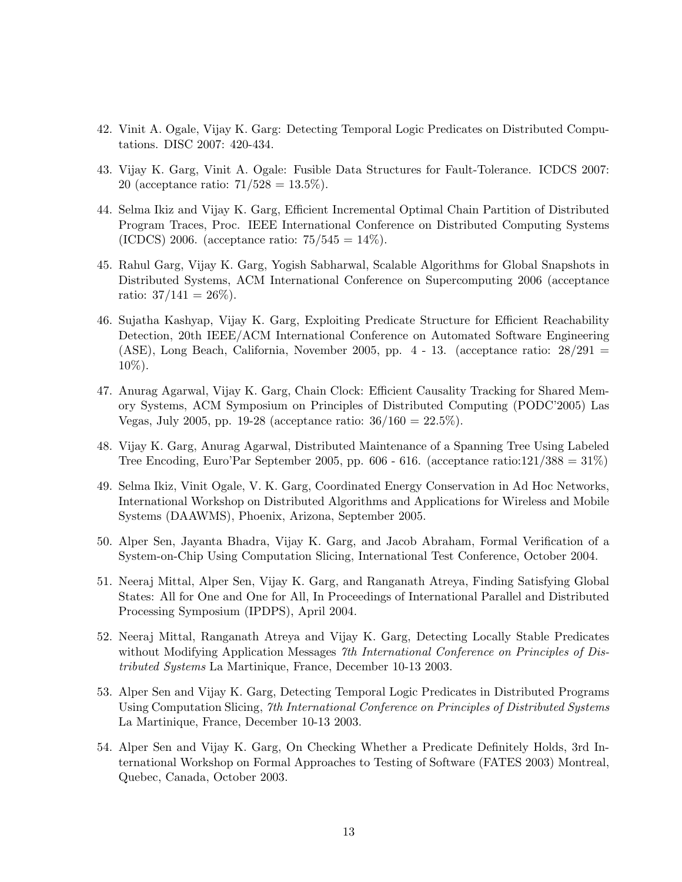- 42. Vinit A. Ogale, Vijay K. Garg: Detecting Temporal Logic Predicates on Distributed Computations. DISC 2007: 420-434.
- 43. Vijay K. Garg, Vinit A. Ogale: Fusible Data Structures for Fault-Tolerance. ICDCS 2007: 20 (acceptance ratio:  $71/528 = 13.5\%$ ).
- 44. Selma Ikiz and Vijay K. Garg, Efficient Incremental Optimal Chain Partition of Distributed Program Traces, Proc. IEEE International Conference on Distributed Computing Systems (ICDCS) 2006. (acceptance ratio:  $75/545 = 14\%$ ).
- 45. Rahul Garg, Vijay K. Garg, Yogish Sabharwal, Scalable Algorithms for Global Snapshots in Distributed Systems, ACM International Conference on Supercomputing 2006 (acceptance ratio:  $37/141 = 26\%$ ).
- 46. Sujatha Kashyap, Vijay K. Garg, Exploiting Predicate Structure for Efficient Reachability Detection, 20th IEEE/ACM International Conference on Automated Software Engineering (ASE), Long Beach, California, November 2005, pp.  $4$  - 13. (acceptance ratio:  $28/291$  = 10%).
- 47. Anurag Agarwal, Vijay K. Garg, Chain Clock: Efficient Causality Tracking for Shared Memory Systems, ACM Symposium on Principles of Distributed Computing (PODC'2005) Las Vegas, July 2005, pp. 19-28 (acceptance ratio:  $36/160 = 22.5\%$ ).
- 48. Vijay K. Garg, Anurag Agarwal, Distributed Maintenance of a Spanning Tree Using Labeled Tree Encoding, Euro'Par September 2005, pp.  $606 - 616$ . (acceptance ratio: $121/388 = 31\%$ )
- 49. Selma Ikiz, Vinit Ogale, V. K. Garg, Coordinated Energy Conservation in Ad Hoc Networks, International Workshop on Distributed Algorithms and Applications for Wireless and Mobile Systems (DAAWMS), Phoenix, Arizona, September 2005.
- 50. Alper Sen, Jayanta Bhadra, Vijay K. Garg, and Jacob Abraham, Formal Verification of a System-on-Chip Using Computation Slicing, International Test Conference, October 2004.
- 51. Neeraj Mittal, Alper Sen, Vijay K. Garg, and Ranganath Atreya, Finding Satisfying Global States: All for One and One for All, In Proceedings of International Parallel and Distributed Processing Symposium (IPDPS), April 2004.
- 52. Neeraj Mittal, Ranganath Atreya and Vijay K. Garg, Detecting Locally Stable Predicates without Modifying Application Messages 7th International Conference on Principles of Distributed Systems La Martinique, France, December 10-13 2003.
- 53. Alper Sen and Vijay K. Garg, Detecting Temporal Logic Predicates in Distributed Programs Using Computation Slicing, 7th International Conference on Principles of Distributed Systems La Martinique, France, December 10-13 2003.
- 54. Alper Sen and Vijay K. Garg, On Checking Whether a Predicate Definitely Holds, 3rd International Workshop on Formal Approaches to Testing of Software (FATES 2003) Montreal, Quebec, Canada, October 2003.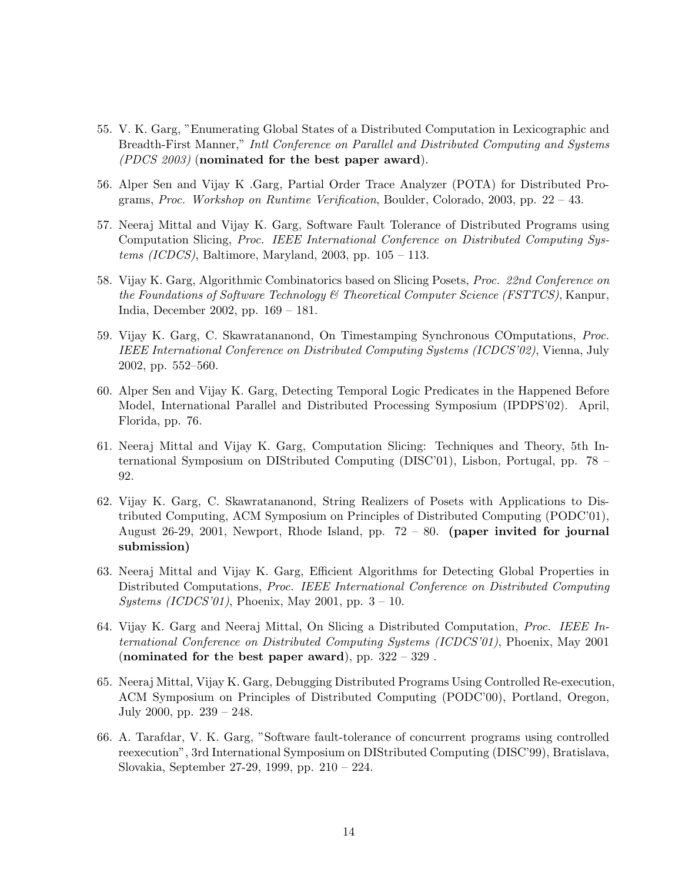- 55. V. K. Garg, "Enumerating Global States of a Distributed Computation in Lexicographic and Breadth-First Manner," Intl Conference on Parallel and Distributed Computing and Systems (PDCS 2003) (nominated for the best paper award).
- 56. Alper Sen and Vijay K .Garg, Partial Order Trace Analyzer (POTA) for Distributed Programs, Proc. Workshop on Runtime Verification, Boulder, Colorado, 2003, pp. 22 – 43.
- 57. Neeraj Mittal and Vijay K. Garg, Software Fault Tolerance of Distributed Programs using Computation Slicing, Proc. IEEE International Conference on Distributed Computing Systems (ICDCS), Baltimore, Maryland, 2003, pp.  $105 - 113$ .
- 58. Vijay K. Garg, Algorithmic Combinatorics based on Slicing Posets, Proc. 22nd Conference on the Foundations of Software Technology & Theoretical Computer Science (FSTTCS), Kanpur, India, December 2002, pp. 169 – 181.
- 59. Vijay K. Garg, C. Skawratananond, On Timestamping Synchronous COmputations, Proc. IEEE International Conference on Distributed Computing Systems (ICDCS'02), Vienna, July 2002, pp. 552–560.
- 60. Alper Sen and Vijay K. Garg, Detecting Temporal Logic Predicates in the Happened Before Model, International Parallel and Distributed Processing Symposium (IPDPS'02). April, Florida, pp. 76.
- 61. Neeraj Mittal and Vijay K. Garg, Computation Slicing: Techniques and Theory, 5th International Symposium on DIStributed Computing (DISC'01), Lisbon, Portugal, pp. 78 – 92.
- 62. Vijay K. Garg, C. Skawratananond, String Realizers of Posets with Applications to Distributed Computing, ACM Symposium on Principles of Distributed Computing (PODC'01), August 26-29, 2001, Newport, Rhode Island, pp. 72 – 80. (paper invited for journal submission)
- 63. Neeraj Mittal and Vijay K. Garg, Efficient Algorithms for Detecting Global Properties in Distributed Computations, Proc. IEEE International Conference on Distributed Computing *Systems (ICDCS'01)*, Phoenix, May 2001, pp.  $3 - 10$ .
- 64. Vijay K. Garg and Neeraj Mittal, On Slicing a Distributed Computation, Proc. IEEE International Conference on Distributed Computing Systems (ICDCS'01), Phoenix, May 2001 (nominated for the best paper award), pp. 322 – 329 .
- 65. Neeraj Mittal, Vijay K. Garg, Debugging Distributed Programs Using Controlled Re-execution, ACM Symposium on Principles of Distributed Computing (PODC'00), Portland, Oregon, July 2000, pp. 239 – 248.
- 66. A. Tarafdar, V. K. Garg, "Software fault-tolerance of concurrent programs using controlled reexecution", 3rd International Symposium on DIStributed Computing (DISC'99), Bratislava, Slovakia, September 27-29, 1999, pp. 210 – 224.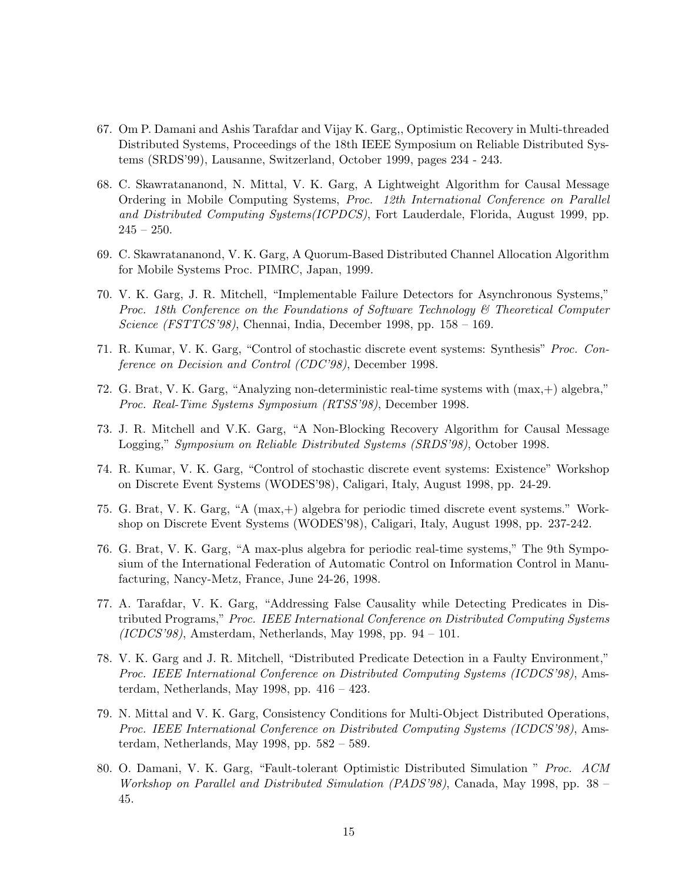- 67. Om P. Damani and Ashis Tarafdar and Vijay K. Garg,, Optimistic Recovery in Multi-threaded Distributed Systems, Proceedings of the 18th IEEE Symposium on Reliable Distributed Systems (SRDS'99), Lausanne, Switzerland, October 1999, pages 234 - 243.
- 68. C. Skawratananond, N. Mittal, V. K. Garg, A Lightweight Algorithm for Causal Message Ordering in Mobile Computing Systems, Proc. 12th International Conference on Parallel and Distributed Computing Systems(ICPDCS), Fort Lauderdale, Florida, August 1999, pp.  $245 - 250.$
- 69. C. Skawratananond, V. K. Garg, A Quorum-Based Distributed Channel Allocation Algorithm for Mobile Systems Proc. PIMRC, Japan, 1999.
- 70. V. K. Garg, J. R. Mitchell, "Implementable Failure Detectors for Asynchronous Systems," Proc. 18th Conference on the Foundations of Software Technology & Theoretical Computer Science (FSTTCS'98), Chennai, India, December 1998, pp. 158 – 169.
- 71. R. Kumar, V. K. Garg, "Control of stochastic discrete event systems: Synthesis" Proc. Conference on Decision and Control (CDC'98), December 1998.
- 72. G. Brat, V. K. Garg, "Analyzing non-deterministic real-time systems with (max,+) algebra," Proc. Real-Time Systems Symposium (RTSS'98), December 1998.
- 73. J. R. Mitchell and V.K. Garg, "A Non-Blocking Recovery Algorithm for Causal Message Logging," Symposium on Reliable Distributed Systems (SRDS'98), October 1998.
- 74. R. Kumar, V. K. Garg, "Control of stochastic discrete event systems: Existence" Workshop on Discrete Event Systems (WODES'98), Caligari, Italy, August 1998, pp. 24-29.
- 75. G. Brat, V. K. Garg, "A (max,+) algebra for periodic timed discrete event systems." Workshop on Discrete Event Systems (WODES'98), Caligari, Italy, August 1998, pp. 237-242.
- 76. G. Brat, V. K. Garg, "A max-plus algebra for periodic real-time systems," The 9th Symposium of the International Federation of Automatic Control on Information Control in Manufacturing, Nancy-Metz, France, June 24-26, 1998.
- 77. A. Tarafdar, V. K. Garg, "Addressing False Causality while Detecting Predicates in Distributed Programs," Proc. IEEE International Conference on Distributed Computing Systems  $(ICDCS'98)$ , Amsterdam, Netherlands, May 1998, pp. 94 – 101.
- 78. V. K. Garg and J. R. Mitchell, "Distributed Predicate Detection in a Faulty Environment," Proc. IEEE International Conference on Distributed Computing Systems (ICDCS'98), Amsterdam, Netherlands, May 1998, pp. 416 – 423.
- 79. N. Mittal and V. K. Garg, Consistency Conditions for Multi-Object Distributed Operations, Proc. IEEE International Conference on Distributed Computing Systems (ICDCS'98), Amsterdam, Netherlands, May 1998, pp. 582 – 589.
- 80. O. Damani, V. K. Garg, "Fault-tolerant Optimistic Distributed Simulation " Proc. ACM Workshop on Parallel and Distributed Simulation (PADS'98), Canada, May 1998, pp. 38 – 45.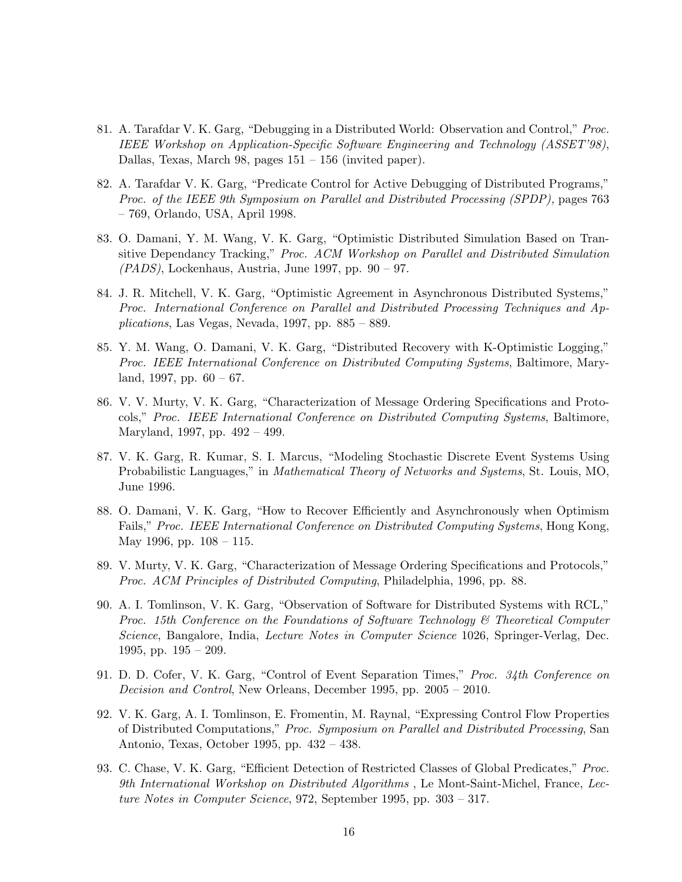- 81. A. Tarafdar V. K. Garg, "Debugging in a Distributed World: Observation and Control," Proc. IEEE Workshop on Application-Specific Software Engineering and Technology (ASSET'98), Dallas, Texas, March 98, pages 151 – 156 (invited paper).
- 82. A. Tarafdar V. K. Garg, "Predicate Control for Active Debugging of Distributed Programs," Proc. of the IEEE 9th Symposium on Parallel and Distributed Processing (SPDP), pages 763 – 769, Orlando, USA, April 1998.
- 83. O. Damani, Y. M. Wang, V. K. Garg, "Optimistic Distributed Simulation Based on Transitive Dependancy Tracking," Proc. ACM Workshop on Parallel and Distributed Simulation  $(PADS)$ , Lockenhaus, Austria, June 1997, pp. 90 – 97.
- 84. J. R. Mitchell, V. K. Garg, "Optimistic Agreement in Asynchronous Distributed Systems," Proc. International Conference on Parallel and Distributed Processing Techniques and Ap $plications, Las Vegas, Nevada, 1997, pp. 885 - 889.$
- 85. Y. M. Wang, O. Damani, V. K. Garg, "Distributed Recovery with K-Optimistic Logging," Proc. IEEE International Conference on Distributed Computing Systems, Baltimore, Maryland, 1997, pp.  $60 - 67$ .
- 86. V. V. Murty, V. K. Garg, "Characterization of Message Ordering Specifications and Protocols," Proc. IEEE International Conference on Distributed Computing Systems, Baltimore, Maryland, 1997, pp. 492 – 499.
- 87. V. K. Garg, R. Kumar, S. I. Marcus, "Modeling Stochastic Discrete Event Systems Using Probabilistic Languages," in Mathematical Theory of Networks and Systems, St. Louis, MO, June 1996.
- 88. O. Damani, V. K. Garg, "How to Recover Efficiently and Asynchronously when Optimism Fails," Proc. IEEE International Conference on Distributed Computing Systems, Hong Kong, May 1996, pp. 108 – 115.
- 89. V. Murty, V. K. Garg, "Characterization of Message Ordering Specifications and Protocols," Proc. ACM Principles of Distributed Computing, Philadelphia, 1996, pp. 88.
- 90. A. I. Tomlinson, V. K. Garg, "Observation of Software for Distributed Systems with RCL," Proc. 15th Conference on the Foundations of Software Technology & Theoretical Computer Science, Bangalore, India, Lecture Notes in Computer Science 1026, Springer-Verlag, Dec. 1995, pp. 195 – 209.
- 91. D. D. Cofer, V. K. Garg, "Control of Event Separation Times," Proc. 34th Conference on Decision and Control, New Orleans, December 1995, pp. 2005 – 2010.
- 92. V. K. Garg, A. I. Tomlinson, E. Fromentin, M. Raynal, "Expressing Control Flow Properties of Distributed Computations," Proc. Symposium on Parallel and Distributed Processing, San Antonio, Texas, October 1995, pp. 432 – 438.
- 93. C. Chase, V. K. Garg, "Efficient Detection of Restricted Classes of Global Predicates," Proc. 9th International Workshop on Distributed Algorithms , Le Mont-Saint-Michel, France, Lecture Notes in Computer Science, 972, September 1995, pp. 303 – 317.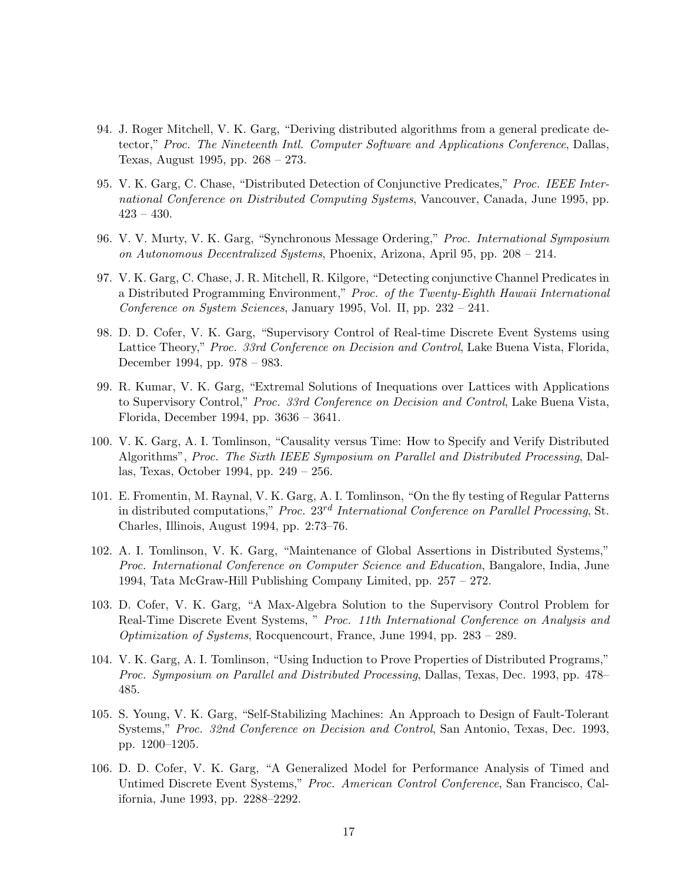- 94. J. Roger Mitchell, V. K. Garg, "Deriving distributed algorithms from a general predicate detector," Proc. The Nineteenth Intl. Computer Software and Applications Conference, Dallas, Texas, August 1995, pp. 268 – 273.
- 95. V. K. Garg, C. Chase, "Distributed Detection of Conjunctive Predicates," Proc. IEEE International Conference on Distributed Computing Systems, Vancouver, Canada, June 1995, pp.  $423 - 430.$
- 96. V. V. Murty, V. K. Garg, "Synchronous Message Ordering," Proc. International Symposium on Autonomous Decentralized Systems, Phoenix, Arizona, April 95, pp. 208 – 214.
- 97. V. K. Garg, C. Chase, J. R. Mitchell, R. Kilgore, "Detecting conjunctive Channel Predicates in a Distributed Programming Environment," Proc. of the Twenty-Eighth Hawaii International Conference on System Sciences, January 1995, Vol. II, pp. 232 – 241.
- 98. D. D. Cofer, V. K. Garg, "Supervisory Control of Real-time Discrete Event Systems using Lattice Theory," Proc. 33rd Conference on Decision and Control, Lake Buena Vista, Florida, December 1994, pp. 978 – 983.
- 99. R. Kumar, V. K. Garg, "Extremal Solutions of Inequations over Lattices with Applications to Supervisory Control," Proc. 33rd Conference on Decision and Control, Lake Buena Vista, Florida, December 1994, pp. 3636 – 3641.
- 100. V. K. Garg, A. I. Tomlinson, "Causality versus Time: How to Specify and Verify Distributed Algorithms", Proc. The Sixth IEEE Symposium on Parallel and Distributed Processing, Dallas, Texas, October 1994, pp. 249 – 256.
- 101. E. Fromentin, M. Raynal, V. K. Garg, A. I. Tomlinson, "On the fly testing of Regular Patterns in distributed computations," Proc. 23<sup>rd</sup> International Conference on Parallel Processing, St. Charles, Illinois, August 1994, pp. 2:73–76.
- 102. A. I. Tomlinson, V. K. Garg, "Maintenance of Global Assertions in Distributed Systems," Proc. International Conference on Computer Science and Education, Bangalore, India, June 1994, Tata McGraw-Hill Publishing Company Limited, pp. 257 – 272.
- 103. D. Cofer, V. K. Garg, "A Max-Algebra Solution to the Supervisory Control Problem for Real-Time Discrete Event Systems, " Proc. 11th International Conference on Analysis and Optimization of Systems, Rocquencourt, France, June 1994, pp. 283 – 289.
- 104. V. K. Garg, A. I. Tomlinson, "Using Induction to Prove Properties of Distributed Programs," Proc. Symposium on Parallel and Distributed Processing, Dallas, Texas, Dec. 1993, pp. 478– 485.
- 105. S. Young, V. K. Garg, "Self-Stabilizing Machines: An Approach to Design of Fault-Tolerant Systems," Proc. 32nd Conference on Decision and Control, San Antonio, Texas, Dec. 1993, pp. 1200–1205.
- 106. D. D. Cofer, V. K. Garg, "A Generalized Model for Performance Analysis of Timed and Untimed Discrete Event Systems," Proc. American Control Conference, San Francisco, California, June 1993, pp. 2288–2292.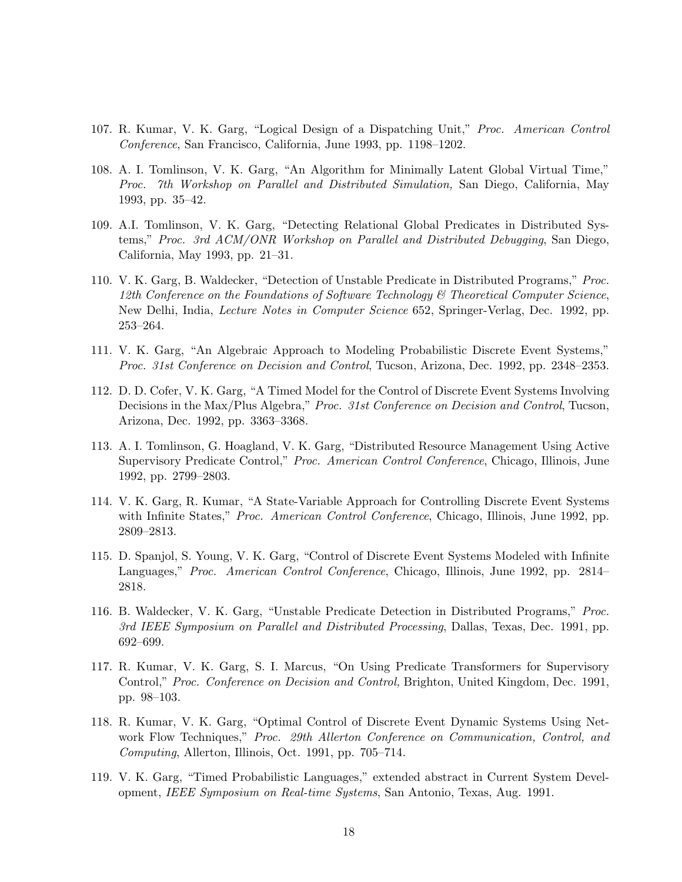- 107. R. Kumar, V. K. Garg, "Logical Design of a Dispatching Unit," Proc. American Control Conference, San Francisco, California, June 1993, pp. 1198–1202.
- 108. A. I. Tomlinson, V. K. Garg, "An Algorithm for Minimally Latent Global Virtual Time," Proc. 7th Workshop on Parallel and Distributed Simulation, San Diego, California, May 1993, pp. 35–42.
- 109. A.I. Tomlinson, V. K. Garg, "Detecting Relational Global Predicates in Distributed Systems," Proc. 3rd ACM/ONR Workshop on Parallel and Distributed Debugging, San Diego, California, May 1993, pp. 21–31.
- 110. V. K. Garg, B. Waldecker, "Detection of Unstable Predicate in Distributed Programs," Proc. 12th Conference on the Foundations of Software Technology & Theoretical Computer Science, New Delhi, India, Lecture Notes in Computer Science 652, Springer-Verlag, Dec. 1992, pp. 253–264.
- 111. V. K. Garg, "An Algebraic Approach to Modeling Probabilistic Discrete Event Systems," Proc. 31st Conference on Decision and Control, Tucson, Arizona, Dec. 1992, pp. 2348–2353.
- 112. D. D. Cofer, V. K. Garg, "A Timed Model for the Control of Discrete Event Systems Involving Decisions in the Max/Plus Algebra," Proc. 31st Conference on Decision and Control, Tucson, Arizona, Dec. 1992, pp. 3363–3368.
- 113. A. I. Tomlinson, G. Hoagland, V. K. Garg, "Distributed Resource Management Using Active Supervisory Predicate Control," Proc. American Control Conference, Chicago, Illinois, June 1992, pp. 2799–2803.
- 114. V. K. Garg, R. Kumar, "A State-Variable Approach for Controlling Discrete Event Systems with Infinite States," *Proc. American Control Conference*, Chicago, Illinois, June 1992, pp. 2809–2813.
- 115. D. Spanjol, S. Young, V. K. Garg, "Control of Discrete Event Systems Modeled with Infinite Languages," Proc. American Control Conference, Chicago, Illinois, June 1992, pp. 2814– 2818.
- 116. B. Waldecker, V. K. Garg, "Unstable Predicate Detection in Distributed Programs," Proc. 3rd IEEE Symposium on Parallel and Distributed Processing, Dallas, Texas, Dec. 1991, pp. 692–699.
- 117. R. Kumar, V. K. Garg, S. I. Marcus, "On Using Predicate Transformers for Supervisory Control," Proc. Conference on Decision and Control, Brighton, United Kingdom, Dec. 1991, pp. 98–103.
- 118. R. Kumar, V. K. Garg, "Optimal Control of Discrete Event Dynamic Systems Using Network Flow Techniques," Proc. 29th Allerton Conference on Communication, Control, and Computing, Allerton, Illinois, Oct. 1991, pp. 705–714.
- 119. V. K. Garg, "Timed Probabilistic Languages," extended abstract in Current System Development, IEEE Symposium on Real-time Systems, San Antonio, Texas, Aug. 1991.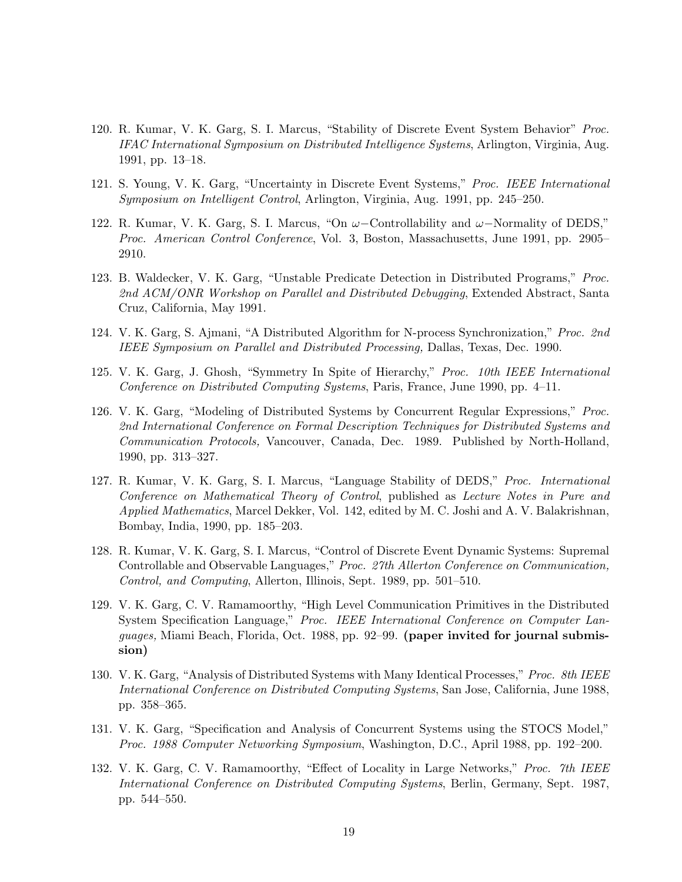- 120. R. Kumar, V. K. Garg, S. I. Marcus, "Stability of Discrete Event System Behavior" Proc. IFAC International Symposium on Distributed Intelligence Systems, Arlington, Virginia, Aug. 1991, pp. 13–18.
- 121. S. Young, V. K. Garg, "Uncertainty in Discrete Event Systems," Proc. IEEE International Symposium on Intelligent Control, Arlington, Virginia, Aug. 1991, pp. 245–250.
- 122. R. Kumar, V. K. Garg, S. I. Marcus, "On  $\omega$ -Controllability and  $\omega$ -Normality of DEDS," Proc. American Control Conference, Vol. 3, Boston, Massachusetts, June 1991, pp. 2905– 2910.
- 123. B. Waldecker, V. K. Garg, "Unstable Predicate Detection in Distributed Programs," Proc. 2nd ACM/ONR Workshop on Parallel and Distributed Debugging, Extended Abstract, Santa Cruz, California, May 1991.
- 124. V. K. Garg, S. Ajmani, "A Distributed Algorithm for N-process Synchronization," Proc. 2nd IEEE Symposium on Parallel and Distributed Processing, Dallas, Texas, Dec. 1990.
- 125. V. K. Garg, J. Ghosh, "Symmetry In Spite of Hierarchy," Proc. 10th IEEE International Conference on Distributed Computing Systems, Paris, France, June 1990, pp. 4–11.
- 126. V. K. Garg, "Modeling of Distributed Systems by Concurrent Regular Expressions," Proc. 2nd International Conference on Formal Description Techniques for Distributed Systems and Communication Protocols, Vancouver, Canada, Dec. 1989. Published by North-Holland, 1990, pp. 313–327.
- 127. R. Kumar, V. K. Garg, S. I. Marcus, "Language Stability of DEDS," Proc. International Conference on Mathematical Theory of Control, published as Lecture Notes in Pure and Applied Mathematics, Marcel Dekker, Vol. 142, edited by M. C. Joshi and A. V. Balakrishnan, Bombay, India, 1990, pp. 185–203.
- 128. R. Kumar, V. K. Garg, S. I. Marcus, "Control of Discrete Event Dynamic Systems: Supremal Controllable and Observable Languages," Proc. 27th Allerton Conference on Communication, Control, and Computing, Allerton, Illinois, Sept. 1989, pp. 501–510.
- 129. V. K. Garg, C. V. Ramamoorthy, "High Level Communication Primitives in the Distributed System Specification Language," Proc. IEEE International Conference on Computer Languages, Miami Beach, Florida, Oct. 1988, pp. 92–99. (paper invited for journal submission)
- 130. V. K. Garg, "Analysis of Distributed Systems with Many Identical Processes," Proc. 8th IEEE International Conference on Distributed Computing Systems, San Jose, California, June 1988, pp. 358–365.
- 131. V. K. Garg, "Specification and Analysis of Concurrent Systems using the STOCS Model," Proc. 1988 Computer Networking Symposium, Washington, D.C., April 1988, pp. 192–200.
- 132. V. K. Garg, C. V. Ramamoorthy, "Effect of Locality in Large Networks," *Proc. 7th IEEE* International Conference on Distributed Computing Systems, Berlin, Germany, Sept. 1987, pp. 544–550.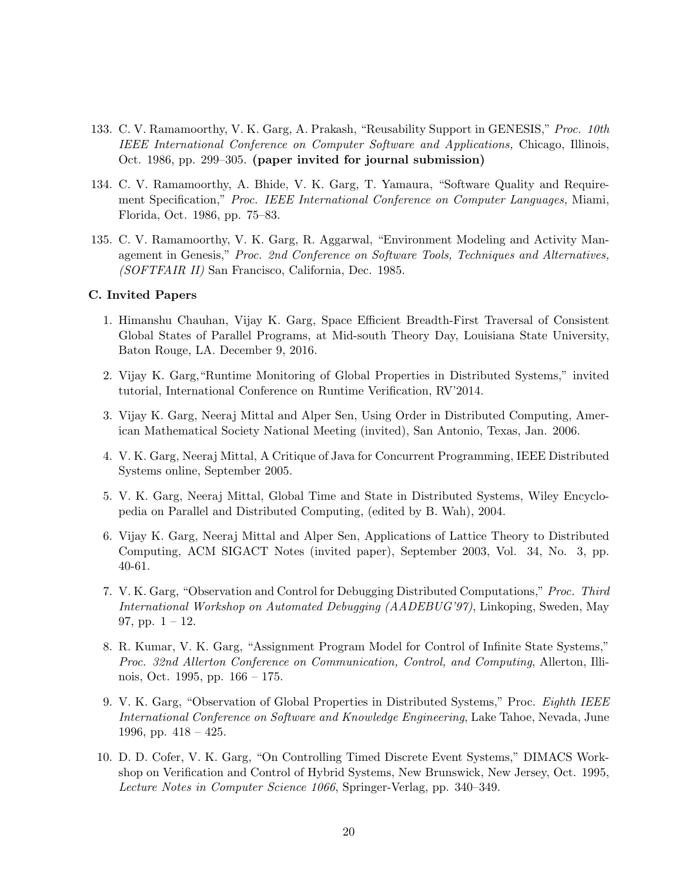- 133. C. V. Ramamoorthy, V. K. Garg, A. Prakash, "Reusability Support in GENESIS," Proc. 10th IEEE International Conference on Computer Software and Applications, Chicago, Illinois, Oct. 1986, pp. 299–305. (paper invited for journal submission)
- 134. C. V. Ramamoorthy, A. Bhide, V. K. Garg, T. Yamaura, "Software Quality and Requirement Specification," Proc. IEEE International Conference on Computer Languages, Miami, Florida, Oct. 1986, pp. 75–83.
- 135. C. V. Ramamoorthy, V. K. Garg, R. Aggarwal, "Environment Modeling and Activity Management in Genesis," Proc. 2nd Conference on Software Tools, Techniques and Alternatives, (SOFTFAIR II) San Francisco, California, Dec. 1985.

### C. Invited Papers

- 1. Himanshu Chauhan, Vijay K. Garg, Space Efficient Breadth-First Traversal of Consistent Global States of Parallel Programs, at Mid-south Theory Day, Louisiana State University, Baton Rouge, LA. December 9, 2016.
- 2. Vijay K. Garg,"Runtime Monitoring of Global Properties in Distributed Systems," invited tutorial, International Conference on Runtime Verification, RV'2014.
- 3. Vijay K. Garg, Neeraj Mittal and Alper Sen, Using Order in Distributed Computing, American Mathematical Society National Meeting (invited), San Antonio, Texas, Jan. 2006.
- 4. V. K. Garg, Neeraj Mittal, A Critique of Java for Concurrent Programming, IEEE Distributed Systems online, September 2005.
- 5. V. K. Garg, Neeraj Mittal, Global Time and State in Distributed Systems, Wiley Encyclopedia on Parallel and Distributed Computing, (edited by B. Wah), 2004.
- 6. Vijay K. Garg, Neeraj Mittal and Alper Sen, Applications of Lattice Theory to Distributed Computing, ACM SIGACT Notes (invited paper), September 2003, Vol. 34, No. 3, pp. 40-61.
- 7. V. K. Garg, "Observation and Control for Debugging Distributed Computations," Proc. Third International Workshop on Automated Debugging (AADEBUG'97), Linkoping, Sweden, May 97, pp.  $1 - 12$ .
- 8. R. Kumar, V. K. Garg, "Assignment Program Model for Control of Infinite State Systems," Proc. 32nd Allerton Conference on Communication, Control, and Computing, Allerton, Illinois, Oct. 1995, pp. 166 – 175.
- 9. V. K. Garg, "Observation of Global Properties in Distributed Systems," Proc. Eighth IEEE International Conference on Software and Knowledge Engineering, Lake Tahoe, Nevada, June 1996, pp.  $418 - 425$ .
- 10. D. D. Cofer, V. K. Garg, "On Controlling Timed Discrete Event Systems," DIMACS Workshop on Verification and Control of Hybrid Systems, New Brunswick, New Jersey, Oct. 1995, Lecture Notes in Computer Science 1066, Springer-Verlag, pp. 340–349.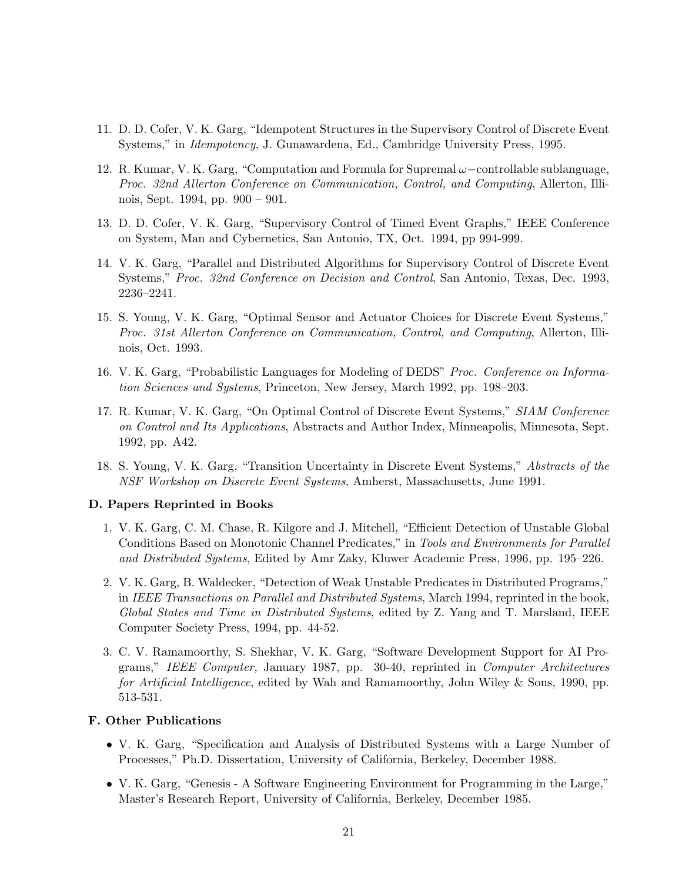- 11. D. D. Cofer, V. K. Garg, "Idempotent Structures in the Supervisory Control of Discrete Event Systems," in Idempotency, J. Gunawardena, Ed., Cambridge University Press, 1995.
- 12. R. Kumar, V. K. Garg, "Computation and Formula for Supremal ω−controllable sublanguage, Proc. 32nd Allerton Conference on Communication, Control, and Computing, Allerton, Illinois, Sept. 1994, pp. 900 – 901.
- 13. D. D. Cofer, V. K. Garg, "Supervisory Control of Timed Event Graphs," IEEE Conference on System, Man and Cybernetics, San Antonio, TX, Oct. 1994, pp 994-999.
- 14. V. K. Garg, "Parallel and Distributed Algorithms for Supervisory Control of Discrete Event Systems," Proc. 32nd Conference on Decision and Control, San Antonio, Texas, Dec. 1993, 2236–2241.
- 15. S. Young, V. K. Garg, "Optimal Sensor and Actuator Choices for Discrete Event Systems," Proc. 31st Allerton Conference on Communication, Control, and Computing, Allerton, Illinois, Oct. 1993.
- 16. V. K. Garg, "Probabilistic Languages for Modeling of DEDS" Proc. Conference on Information Sciences and Systems, Princeton, New Jersey, March 1992, pp. 198–203.
- 17. R. Kumar, V. K. Garg, "On Optimal Control of Discrete Event Systems," SIAM Conference on Control and Its Applications, Abstracts and Author Index, Minneapolis, Minnesota, Sept. 1992, pp. A42.
- 18. S. Young, V. K. Garg, "Transition Uncertainty in Discrete Event Systems," Abstracts of the NSF Workshop on Discrete Event Systems, Amherst, Massachusetts, June 1991.

### D. Papers Reprinted in Books

- 1. V. K. Garg, C. M. Chase, R. Kilgore and J. Mitchell, "Efficient Detection of Unstable Global Conditions Based on Monotonic Channel Predicates," in Tools and Environments for Parallel and Distributed Systems, Edited by Amr Zaky, Kluwer Academic Press, 1996, pp. 195–226.
- 2. V. K. Garg, B. Waldecker, "Detection of Weak Unstable Predicates in Distributed Programs," in IEEE Transactions on Parallel and Distributed Systems, March 1994, reprinted in the book, Global States and Time in Distributed Systems, edited by Z. Yang and T. Marsland, IEEE Computer Society Press, 1994, pp. 44-52.
- 3. C. V. Ramamoorthy, S. Shekhar, V. K. Garg, "Software Development Support for AI Programs," IEEE Computer, January 1987, pp. 30-40, reprinted in Computer Architectures for Artificial Intelligence, edited by Wah and Ramamoorthy, John Wiley & Sons, 1990, pp. 513-531.

#### F. Other Publications

- V. K. Garg, "Specification and Analysis of Distributed Systems with a Large Number of Processes," Ph.D. Dissertation, University of California, Berkeley, December 1988.
- V. K. Garg, "Genesis A Software Engineering Environment for Programming in the Large," Master's Research Report, University of California, Berkeley, December 1985.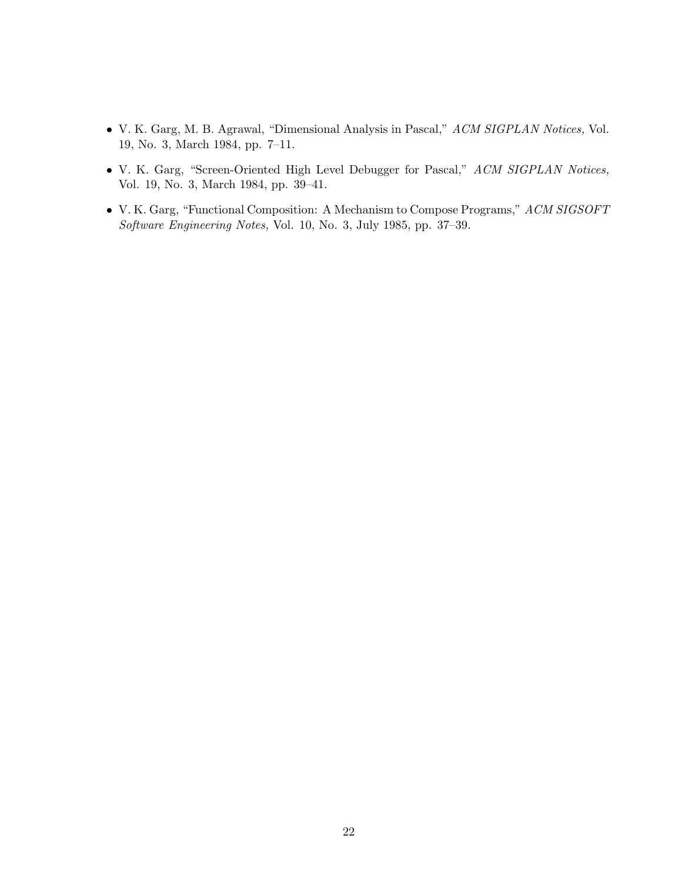- V. K. Garg, M. B. Agrawal, "Dimensional Analysis in Pascal," ACM SIGPLAN Notices, Vol. 19, No. 3, March 1984, pp. 7–11.
- V. K. Garg, "Screen-Oriented High Level Debugger for Pascal," ACM SIGPLAN Notices, Vol. 19, No. 3, March 1984, pp. 39–41.
- V. K. Garg, "Functional Composition: A Mechanism to Compose Programs," ACM SIGSOFT Software Engineering Notes, Vol. 10, No. 3, July 1985, pp. 37–39.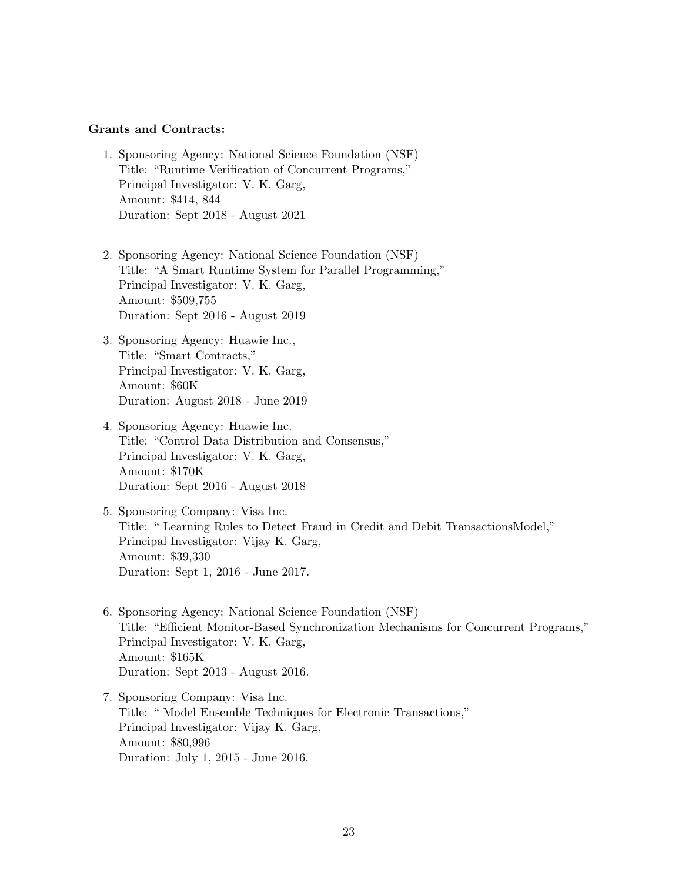#### Grants and Contracts:

- 1. Sponsoring Agency: National Science Foundation (NSF) Title: "Runtime Verification of Concurrent Programs," Principal Investigator: V. K. Garg, Amount: \$414, 844 Duration: Sept 2018 - August 2021
- 2. Sponsoring Agency: National Science Foundation (NSF) Title: "A Smart Runtime System for Parallel Programming," Principal Investigator: V. K. Garg, Amount: \$509,755 Duration: Sept 2016 - August 2019
- 3. Sponsoring Agency: Huawie Inc., Title: "Smart Contracts," Principal Investigator: V. K. Garg, Amount: \$60K Duration: August 2018 - June 2019
- 4. Sponsoring Agency: Huawie Inc. Title: "Control Data Distribution and Consensus," Principal Investigator: V. K. Garg, Amount: \$170K Duration: Sept 2016 - August 2018
- 5. Sponsoring Company: Visa Inc. Title: " Learning Rules to Detect Fraud in Credit and Debit TransactionsModel," Principal Investigator: Vijay K. Garg, Amount: \$39,330 Duration: Sept 1, 2016 - June 2017.
- 6. Sponsoring Agency: National Science Foundation (NSF) Title: "Efficient Monitor-Based Synchronization Mechanisms for Concurrent Programs," Principal Investigator: V. K. Garg, Amount: \$165K Duration: Sept 2013 - August 2016.
- 7. Sponsoring Company: Visa Inc. Title: " Model Ensemble Techniques for Electronic Transactions," Principal Investigator: Vijay K. Garg, Amount: \$80,996 Duration: July 1, 2015 - June 2016.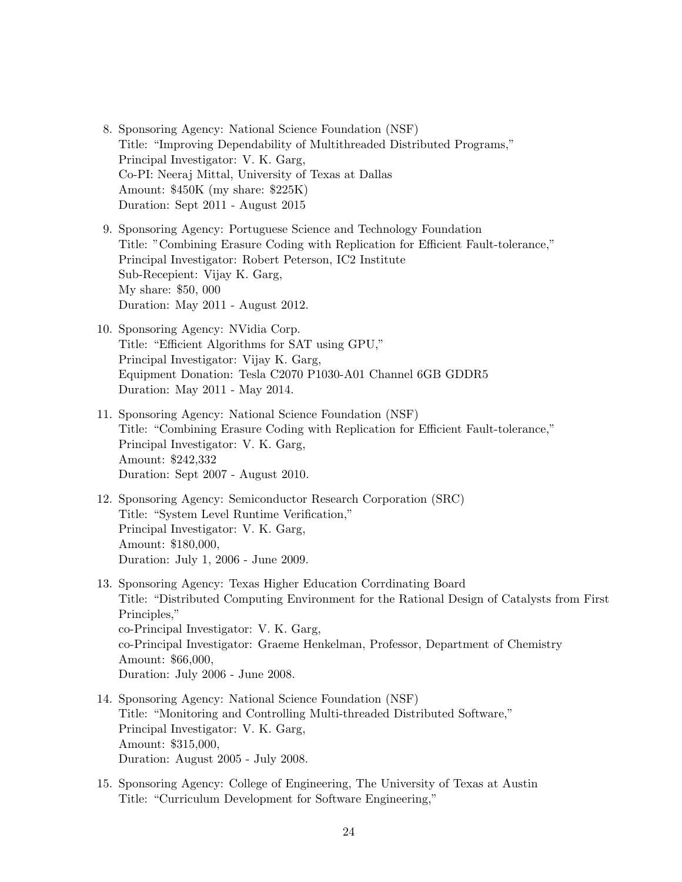- 8. Sponsoring Agency: National Science Foundation (NSF) Title: "Improving Dependability of Multithreaded Distributed Programs," Principal Investigator: V. K. Garg, Co-PI: Neeraj Mittal, University of Texas at Dallas Amount: \$450K (my share: \$225K) Duration: Sept 2011 - August 2015
- 9. Sponsoring Agency: Portuguese Science and Technology Foundation Title: "Combining Erasure Coding with Replication for Efficient Fault-tolerance," Principal Investigator: Robert Peterson, IC2 Institute Sub-Recepient: Vijay K. Garg, My share: \$50, 000 Duration: May 2011 - August 2012.
- 10. Sponsoring Agency: NVidia Corp. Title: "Efficient Algorithms for SAT using GPU," Principal Investigator: Vijay K. Garg, Equipment Donation: Tesla C2070 P1030-A01 Channel 6GB GDDR5 Duration: May 2011 - May 2014.
- 11. Sponsoring Agency: National Science Foundation (NSF) Title: "Combining Erasure Coding with Replication for Efficient Fault-tolerance," Principal Investigator: V. K. Garg, Amount: \$242,332 Duration: Sept 2007 - August 2010.
- 12. Sponsoring Agency: Semiconductor Research Corporation (SRC) Title: "System Level Runtime Verification," Principal Investigator: V. K. Garg, Amount: \$180,000, Duration: July 1, 2006 - June 2009.
- 13. Sponsoring Agency: Texas Higher Education Corrdinating Board Title: "Distributed Computing Environment for the Rational Design of Catalysts from First Principles," co-Principal Investigator: V. K. Garg, co-Principal Investigator: Graeme Henkelman, Professor, Department of Chemistry Amount: \$66,000, Duration: July 2006 - June 2008.
- 14. Sponsoring Agency: National Science Foundation (NSF) Title: "Monitoring and Controlling Multi-threaded Distributed Software," Principal Investigator: V. K. Garg, Amount: \$315,000, Duration: August 2005 - July 2008.
- 15. Sponsoring Agency: College of Engineering, The University of Texas at Austin Title: "Curriculum Development for Software Engineering,"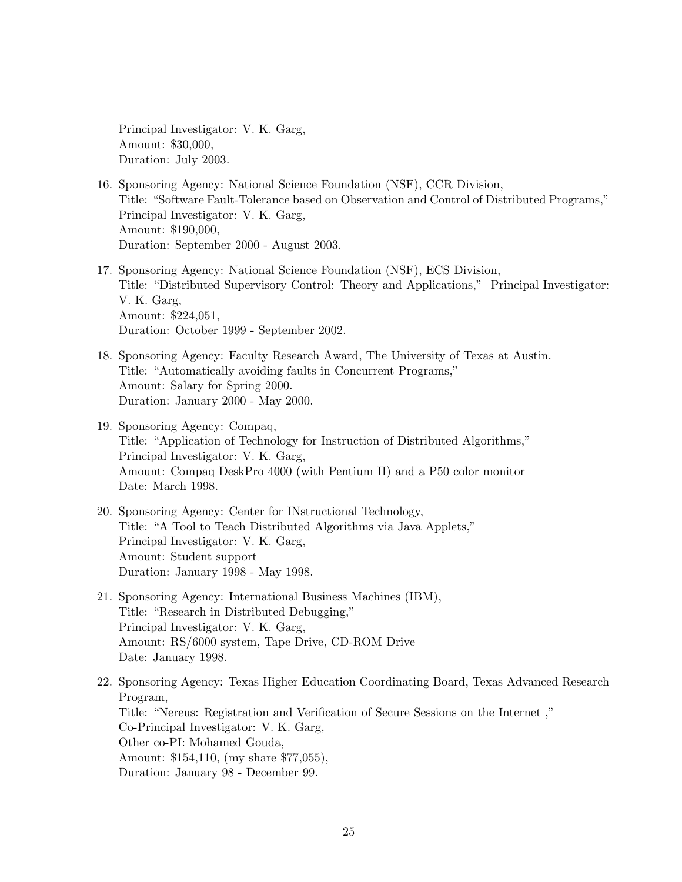Principal Investigator: V. K. Garg, Amount: \$30,000, Duration: July 2003.

- 16. Sponsoring Agency: National Science Foundation (NSF), CCR Division, Title: "Software Fault-Tolerance based on Observation and Control of Distributed Programs," Principal Investigator: V. K. Garg, Amount: \$190,000, Duration: September 2000 - August 2003.
- 17. Sponsoring Agency: National Science Foundation (NSF), ECS Division, Title: "Distributed Supervisory Control: Theory and Applications," Principal Investigator: V. K. Garg, Amount: \$224,051, Duration: October 1999 - September 2002.
- 18. Sponsoring Agency: Faculty Research Award, The University of Texas at Austin. Title: "Automatically avoiding faults in Concurrent Programs," Amount: Salary for Spring 2000. Duration: January 2000 - May 2000.
- 19. Sponsoring Agency: Compaq, Title: "Application of Technology for Instruction of Distributed Algorithms," Principal Investigator: V. K. Garg, Amount: Compaq DeskPro 4000 (with Pentium II) and a P50 color monitor Date: March 1998.
- 20. Sponsoring Agency: Center for INstructional Technology, Title: "A Tool to Teach Distributed Algorithms via Java Applets," Principal Investigator: V. K. Garg, Amount: Student support Duration: January 1998 - May 1998.
- 21. Sponsoring Agency: International Business Machines (IBM), Title: "Research in Distributed Debugging," Principal Investigator: V. K. Garg, Amount: RS/6000 system, Tape Drive, CD-ROM Drive Date: January 1998.
- 22. Sponsoring Agency: Texas Higher Education Coordinating Board, Texas Advanced Research Program, Title: "Nereus: Registration and Verification of Secure Sessions on the Internet ," Co-Principal Investigator: V. K. Garg, Other co-PI: Mohamed Gouda, Amount: \$154,110, (my share \$77,055), Duration: January 98 - December 99.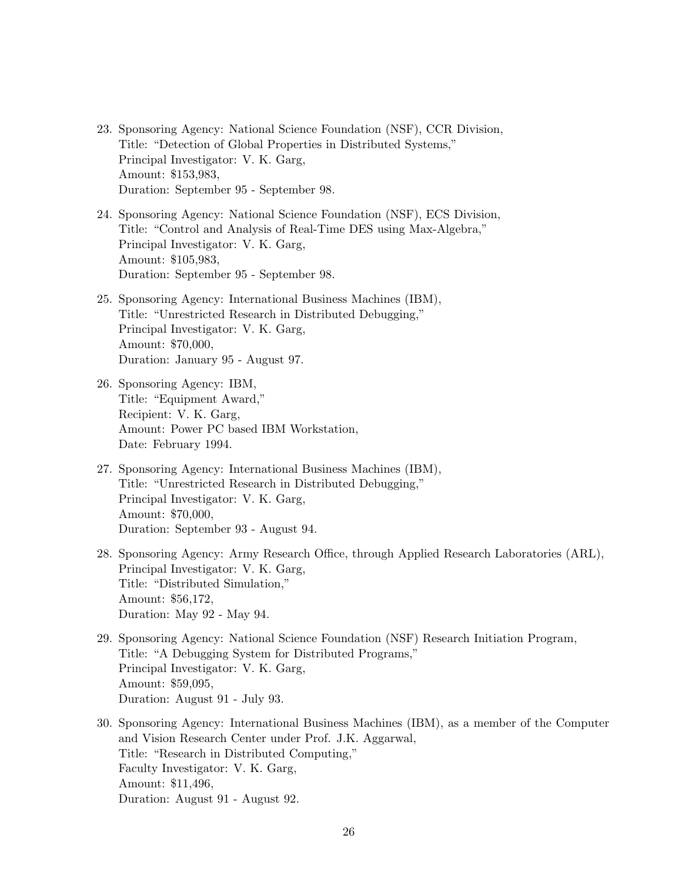- 23. Sponsoring Agency: National Science Foundation (NSF), CCR Division, Title: "Detection of Global Properties in Distributed Systems," Principal Investigator: V. K. Garg, Amount: \$153,983, Duration: September 95 - September 98.
- 24. Sponsoring Agency: National Science Foundation (NSF), ECS Division, Title: "Control and Analysis of Real-Time DES using Max-Algebra," Principal Investigator: V. K. Garg, Amount: \$105,983, Duration: September 95 - September 98.
- 25. Sponsoring Agency: International Business Machines (IBM), Title: "Unrestricted Research in Distributed Debugging," Principal Investigator: V. K. Garg, Amount: \$70,000, Duration: January 95 - August 97.
- 26. Sponsoring Agency: IBM, Title: "Equipment Award," Recipient: V. K. Garg, Amount: Power PC based IBM Workstation, Date: February 1994.
- 27. Sponsoring Agency: International Business Machines (IBM), Title: "Unrestricted Research in Distributed Debugging," Principal Investigator: V. K. Garg, Amount: \$70,000, Duration: September 93 - August 94.
- 28. Sponsoring Agency: Army Research Office, through Applied Research Laboratories (ARL), Principal Investigator: V. K. Garg, Title: "Distributed Simulation," Amount: \$56,172, Duration: May 92 - May 94.
- 29. Sponsoring Agency: National Science Foundation (NSF) Research Initiation Program, Title: "A Debugging System for Distributed Programs," Principal Investigator: V. K. Garg, Amount: \$59,095, Duration: August 91 - July 93.
- 30. Sponsoring Agency: International Business Machines (IBM), as a member of the Computer and Vision Research Center under Prof. J.K. Aggarwal, Title: "Research in Distributed Computing," Faculty Investigator: V. K. Garg, Amount: \$11,496, Duration: August 91 - August 92.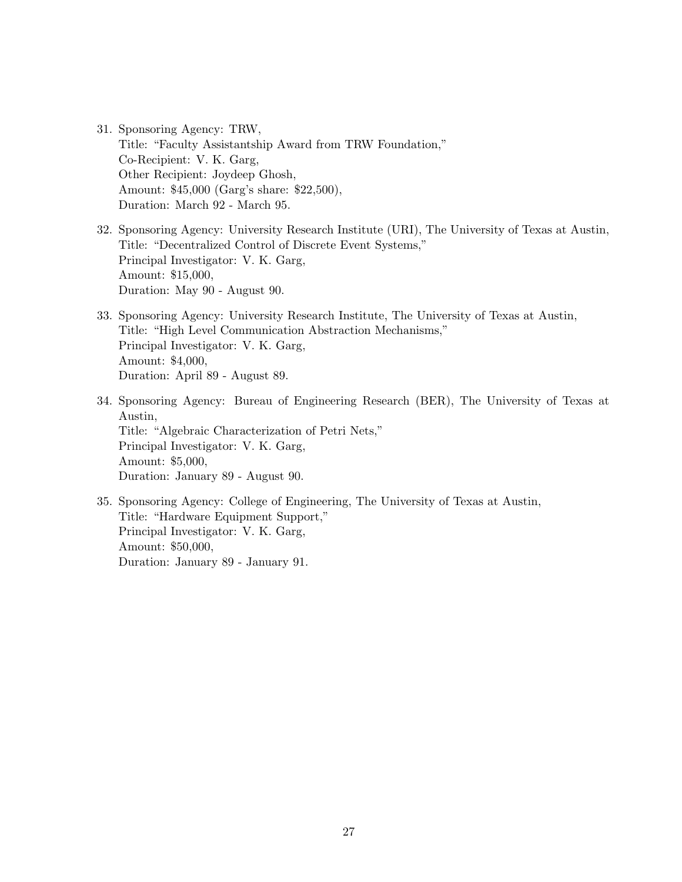- 31. Sponsoring Agency: TRW, Title: "Faculty Assistantship Award from TRW Foundation," Co-Recipient: V. K. Garg, Other Recipient: Joydeep Ghosh, Amount: \$45,000 (Garg's share: \$22,500), Duration: March 92 - March 95.
- 32. Sponsoring Agency: University Research Institute (URI), The University of Texas at Austin, Title: "Decentralized Control of Discrete Event Systems," Principal Investigator: V. K. Garg, Amount: \$15,000, Duration: May 90 - August 90.
- 33. Sponsoring Agency: University Research Institute, The University of Texas at Austin, Title: "High Level Communication Abstraction Mechanisms," Principal Investigator: V. K. Garg, Amount: \$4,000, Duration: April 89 - August 89.
- 34. Sponsoring Agency: Bureau of Engineering Research (BER), The University of Texas at Austin, Title: "Algebraic Characterization of Petri Nets," Principal Investigator: V. K. Garg, Amount: \$5,000, Duration: January 89 - August 90.
- 35. Sponsoring Agency: College of Engineering, The University of Texas at Austin, Title: "Hardware Equipment Support," Principal Investigator: V. K. Garg, Amount: \$50,000, Duration: January 89 - January 91.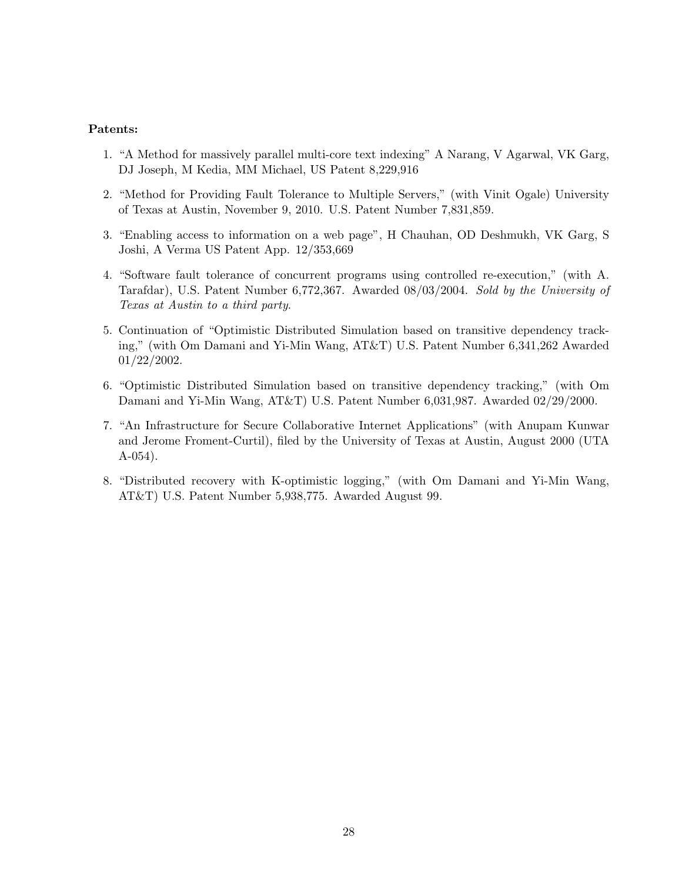### Patents:

- 1. "A Method for massively parallel multi-core text indexing" A Narang, V Agarwal, VK Garg, DJ Joseph, M Kedia, MM Michael, US Patent 8,229,916
- 2. "Method for Providing Fault Tolerance to Multiple Servers," (with Vinit Ogale) University of Texas at Austin, November 9, 2010. U.S. Patent Number 7,831,859.
- 3. "Enabling access to information on a web page", H Chauhan, OD Deshmukh, VK Garg, S Joshi, A Verma US Patent App. 12/353,669
- 4. "Software fault tolerance of concurrent programs using controlled re-execution," (with A. Tarafdar), U.S. Patent Number 6,772,367. Awarded 08/03/2004. Sold by the University of Texas at Austin to a third party.
- 5. Continuation of "Optimistic Distributed Simulation based on transitive dependency tracking," (with Om Damani and Yi-Min Wang, AT&T) U.S. Patent Number 6,341,262 Awarded 01/22/2002.
- 6. "Optimistic Distributed Simulation based on transitive dependency tracking," (with Om Damani and Yi-Min Wang, AT&T) U.S. Patent Number 6,031,987. Awarded 02/29/2000.
- 7. "An Infrastructure for Secure Collaborative Internet Applications" (with Anupam Kunwar and Jerome Froment-Curtil), filed by the University of Texas at Austin, August 2000 (UTA A-054).
- 8. "Distributed recovery with K-optimistic logging," (with Om Damani and Yi-Min Wang, AT&T) U.S. Patent Number 5,938,775. Awarded August 99.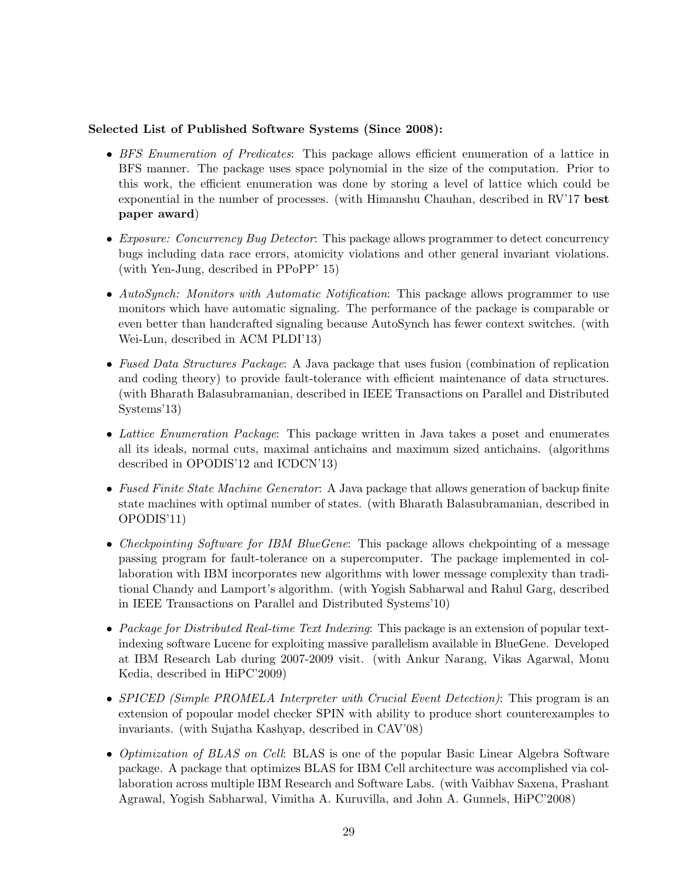## Selected List of Published Software Systems (Since 2008):

- BFS Enumeration of Predicates: This package allows efficient enumeration of a lattice in BFS manner. The package uses space polynomial in the size of the computation. Prior to this work, the efficient enumeration was done by storing a level of lattice which could be exponential in the number of processes. (with Himanshu Chauhan, described in RV'17 best paper award)
- Exposure: Concurrency Bug Detector: This package allows programmer to detect concurrency bugs including data race errors, atomicity violations and other general invariant violations. (with Yen-Jung, described in PPoPP' 15)
- AutoSynch: Monitors with Automatic Notification: This package allows programmer to use monitors which have automatic signaling. The performance of the package is comparable or even better than handcrafted signaling because AutoSynch has fewer context switches. (with Wei-Lun, described in ACM PLDI'13)
- Fused Data Structures Package: A Java package that uses fusion (combination of replication and coding theory) to provide fault-tolerance with efficient maintenance of data structures. (with Bharath Balasubramanian, described in IEEE Transactions on Parallel and Distributed Systems'13)
- Lattice Enumeration Package: This package written in Java takes a poset and enumerates all its ideals, normal cuts, maximal antichains and maximum sized antichains. (algorithms described in OPODIS'12 and ICDCN'13)
- Fused Finite State Machine Generator: A Java package that allows generation of backup finite state machines with optimal number of states. (with Bharath Balasubramanian, described in OPODIS'11)
- Checkpointing Software for IBM BlueGene: This package allows chekpointing of a message passing program for fault-tolerance on a supercomputer. The package implemented in collaboration with IBM incorporates new algorithms with lower message complexity than traditional Chandy and Lamport's algorithm. (with Yogish Sabharwal and Rahul Garg, described in IEEE Transactions on Parallel and Distributed Systems'10)
- Package for Distributed Real-time Text Indexing: This package is an extension of popular textindexing software Lucene for exploiting massive parallelism available in BlueGene. Developed at IBM Research Lab during 2007-2009 visit. (with Ankur Narang, Vikas Agarwal, Monu Kedia, described in HiPC'2009)
- SPICED (Simple PROMELA Interpreter with Crucial Event Detection): This program is an extension of popoular model checker SPIN with ability to produce short counterexamples to invariants. (with Sujatha Kashyap, described in CAV'08)
- *Optimization of BLAS on Cell:* BLAS is one of the popular Basic Linear Algebra Software package. A package that optimizes BLAS for IBM Cell architecture was accomplished via collaboration across multiple IBM Research and Software Labs. (with Vaibhav Saxena, Prashant Agrawal, Yogish Sabharwal, Vimitha A. Kuruvilla, and John A. Gunnels, HiPC'2008)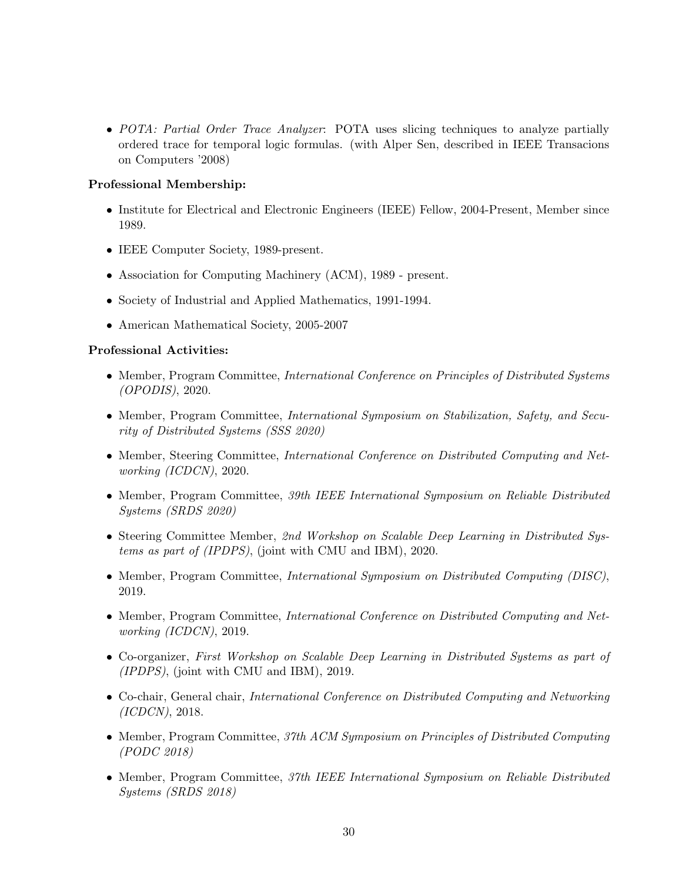• POTA: Partial Order Trace Analyzer: POTA uses slicing techniques to analyze partially ordered trace for temporal logic formulas. (with Alper Sen, described in IEEE Transacions on Computers '2008)

## Professional Membership:

- Institute for Electrical and Electronic Engineers (IEEE) Fellow, 2004-Present, Member since 1989.
- IEEE Computer Society, 1989-present.
- Association for Computing Machinery (ACM), 1989 present.
- Society of Industrial and Applied Mathematics, 1991-1994.
- American Mathematical Society, 2005-2007

## Professional Activities:

- Member, Program Committee, *International Conference on Principles of Distributed Systems* (OPODIS), 2020.
- Member, Program Committee, International Symposium on Stabilization, Safety, and Security of Distributed Systems (SSS 2020)
- Member, Steering Committee, *International Conference on Distributed Computing and Net*working (ICDCN), 2020.
- Member, Program Committee, 39th IEEE International Symposium on Reliable Distributed Systems (SRDS 2020)
- Steering Committee Member, 2nd Workshop on Scalable Deep Learning in Distributed Systems as part of (IPDPS), (joint with CMU and IBM), 2020.
- Member, Program Committee, *International Symposium on Distributed Computing (DISC)*, 2019.
- Member, Program Committee, *International Conference on Distributed Computing and Net*working (ICDCN), 2019.
- Co-organizer, First Workshop on Scalable Deep Learning in Distributed Systems as part of (IPDPS), (joint with CMU and IBM), 2019.
- Co-chair, General chair, *International Conference on Distributed Computing and Networking* (ICDCN), 2018.
- Member, Program Committee, 37th ACM Symposium on Principles of Distributed Computing (PODC 2018)
- Member, Program Committee, 37th IEEE International Symposium on Reliable Distributed Systems (SRDS 2018)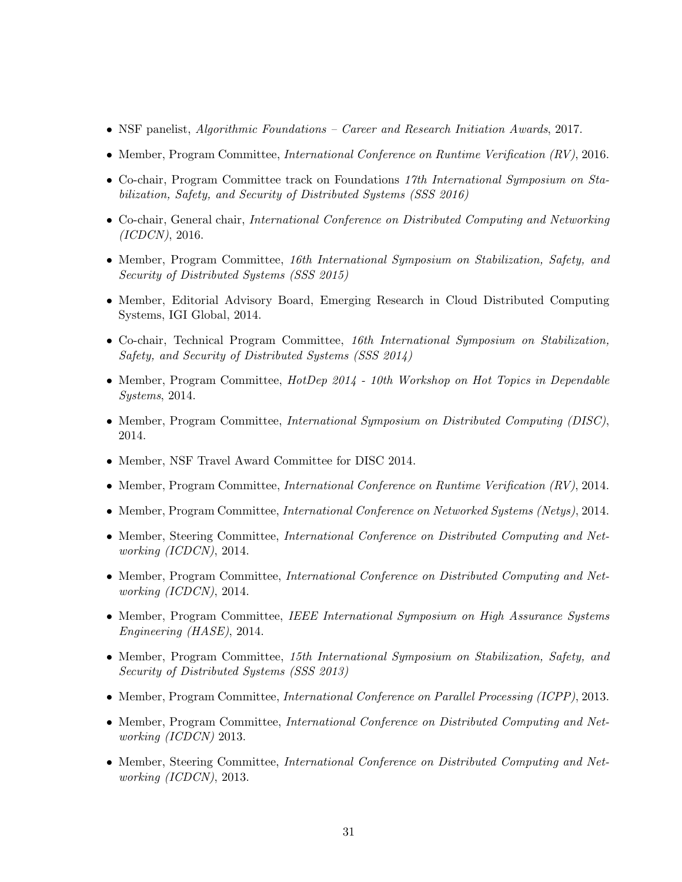- NSF panelist, *Algorithmic Foundations Career and Research Initiation Awards*, 2017.
- Member, Program Committee, *International Conference on Runtime Verification (RV)*, 2016.
- Co-chair, Program Committee track on Foundations 17th International Symposium on Stabilization, Safety, and Security of Distributed Systems (SSS 2016)
- Co-chair, General chair, International Conference on Distributed Computing and Networking (ICDCN), 2016.
- Member, Program Committee, 16th International Symposium on Stabilization, Safety, and Security of Distributed Systems (SSS 2015)
- Member, Editorial Advisory Board, Emerging Research in Cloud Distributed Computing Systems, IGI Global, 2014.
- Co-chair, Technical Program Committee, 16th International Symposium on Stabilization, Safety, and Security of Distributed Systems (SSS 2014)
- Member, Program Committee, HotDep 2014 10th Workshop on Hot Topics in Dependable Systems, 2014.
- Member, Program Committee, *International Symposium on Distributed Computing (DISC)*, 2014.
- Member, NSF Travel Award Committee for DISC 2014.
- Member, Program Committee, *International Conference on Runtime Verification (RV)*, 2014.
- Member, Program Committee, *International Conference on Networked Systems (Netys)*, 2014.
- Member, Steering Committee, International Conference on Distributed Computing and Networking (ICDCN), 2014.
- Member, Program Committee, *International Conference on Distributed Computing and Net*working (ICDCN), 2014.
- Member, Program Committee, IEEE International Symposium on High Assurance Systems Engineering (HASE), 2014.
- Member, Program Committee, 15th International Symposium on Stabilization, Safety, and Security of Distributed Systems (SSS 2013)
- Member, Program Committee, *International Conference on Parallel Processing (ICPP)*, 2013.
- Member, Program Committee, *International Conference on Distributed Computing and Net*working (ICDCN) 2013.
- Member, Steering Committee, *International Conference on Distributed Computing and Net*working (ICDCN), 2013.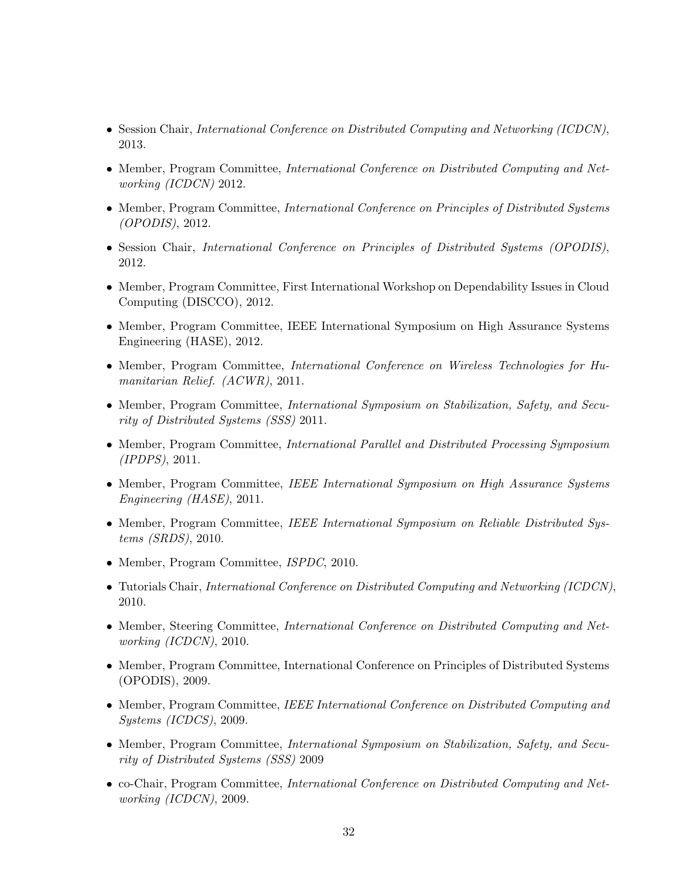- Session Chair, *International Conference on Distributed Computing and Networking (ICDCN)*, 2013.
- Member, Program Committee, *International Conference on Distributed Computing and Net*working (ICDCN) 2012.
- Member, Program Committee, International Conference on Principles of Distributed Systems (OPODIS), 2012.
- Session Chair, *International Conference on Principles of Distributed Systems (OPODIS)*, 2012.
- Member, Program Committee, First International Workshop on Dependability Issues in Cloud Computing (DISCCO), 2012.
- Member, Program Committee, IEEE International Symposium on High Assurance Systems Engineering (HASE), 2012.
- Member, Program Committee, International Conference on Wireless Technologies for Humanitarian Relief. (ACWR), 2011.
- Member, Program Committee, *International Symposium on Stabilization*, *Safety*, and *Secu*rity of Distributed Systems (SSS) 2011.
- Member, Program Committee, *International Parallel and Distributed Processing Symposium* (IPDPS), 2011.
- Member, Program Committee, IEEE International Symposium on High Assurance Systems Engineering (HASE), 2011.
- Member, Program Committee, IEEE International Symposium on Reliable Distributed Systems (SRDS), 2010.
- Member, Program Committee, ISPDC, 2010.
- Tutorials Chair, International Conference on Distributed Computing and Networking (ICDCN), 2010.
- Member, Steering Committee, *International Conference on Distributed Computing and Net*working (ICDCN), 2010.
- Member, Program Committee, International Conference on Principles of Distributed Systems (OPODIS), 2009.
- Member, Program Committee, IEEE International Conference on Distributed Computing and Systems (ICDCS), 2009.
- Member, Program Committee, International Symposium on Stabilization, Safety, and Security of Distributed Systems (SSS) 2009
- co-Chair, Program Committee, *International Conference on Distributed Computing and Net*working (ICDCN), 2009.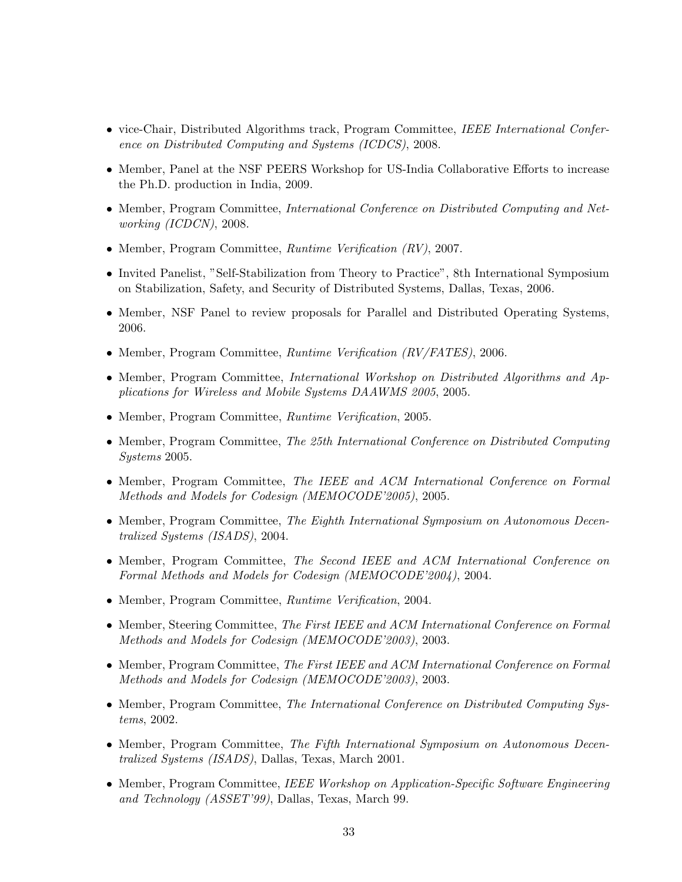- vice-Chair, Distributed Algorithms track, Program Committee, IEEE International Conference on Distributed Computing and Systems (ICDCS), 2008.
- Member, Panel at the NSF PEERS Workshop for US-India Collaborative Efforts to increase the Ph.D. production in India, 2009.
- Member, Program Committee, *International Conference on Distributed Computing and Net*working (ICDCN), 2008.
- Member, Program Committee, Runtime Verification (RV), 2007.
- Invited Panelist, "Self-Stabilization from Theory to Practice", 8th International Symposium on Stabilization, Safety, and Security of Distributed Systems, Dallas, Texas, 2006.
- Member, NSF Panel to review proposals for Parallel and Distributed Operating Systems, 2006.
- Member, Program Committee, Runtime Verification (RV/FATES), 2006.
- Member, Program Committee, *International Workshop on Distributed Algorithms and Ap*plications for Wireless and Mobile Systems DAAWMS 2005, 2005.
- Member, Program Committee, Runtime Verification, 2005.
- Member, Program Committee, The 25th International Conference on Distributed Computing Systems 2005.
- Member, Program Committee, The IEEE and ACM International Conference on Formal Methods and Models for Codesign (MEMOCODE'2005), 2005.
- Member, Program Committee, The Eighth International Symposium on Autonomous Decentralized Systems (ISADS), 2004.
- Member, Program Committee, The Second IEEE and ACM International Conference on Formal Methods and Models for Codesign (MEMOCODE'2004), 2004.
- Member, Program Committee, Runtime Verification, 2004.
- Member, Steering Committee, The First IEEE and ACM International Conference on Formal Methods and Models for Codesign (MEMOCODE'2003), 2003.
- Member, Program Committee, The First IEEE and ACM International Conference on Formal Methods and Models for Codesign (MEMOCODE'2003), 2003.
- Member, Program Committee, The International Conference on Distributed Computing Systems, 2002.
- Member, Program Committee, The Fifth International Symposium on Autonomous Decentralized Systems (ISADS), Dallas, Texas, March 2001.
- Member, Program Committee, IEEE Workshop on Application-Specific Software Engineering and Technology (ASSET'99), Dallas, Texas, March 99.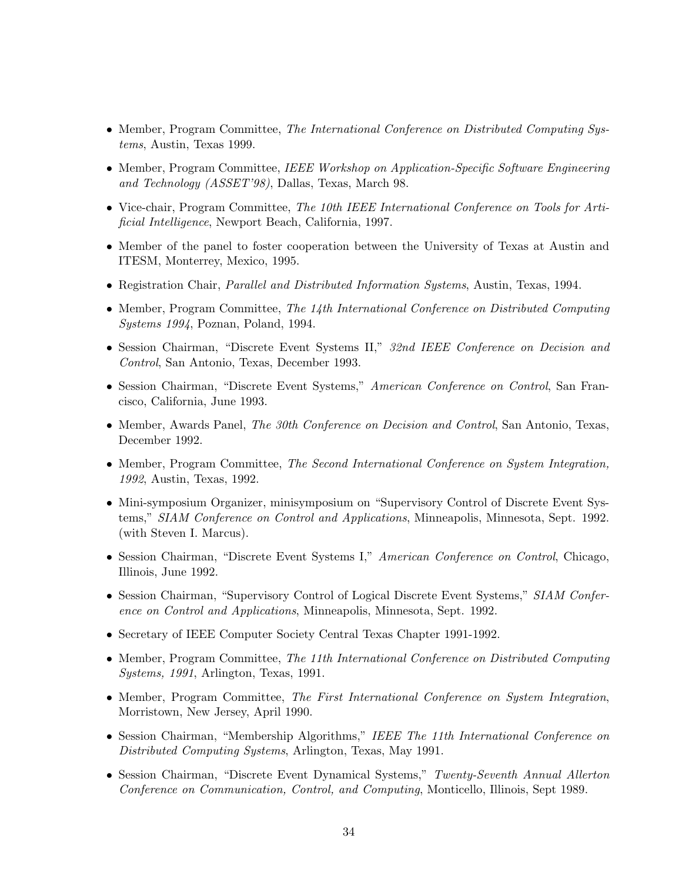- Member, Program Committee, The International Conference on Distributed Computing Systems, Austin, Texas 1999.
- Member, Program Committee, IEEE Workshop on Application-Specific Software Engineering and Technology (ASSET'98), Dallas, Texas, March 98.
- Vice-chair, Program Committee, The 10th IEEE International Conference on Tools for Artificial Intelligence, Newport Beach, California, 1997.
- Member of the panel to foster cooperation between the University of Texas at Austin and ITESM, Monterrey, Mexico, 1995.
- Registration Chair, *Parallel and Distributed Information Systems*, Austin, Texas, 1994.
- Member, Program Committee, The 14th International Conference on Distributed Computing Systems 1994, Poznan, Poland, 1994.
- Session Chairman, "Discrete Event Systems II," 32nd IEEE Conference on Decision and Control, San Antonio, Texas, December 1993.
- Session Chairman, "Discrete Event Systems," American Conference on Control, San Francisco, California, June 1993.
- Member, Awards Panel, *The 30th Conference on Decision and Control*, San Antonio, Texas, December 1992.
- Member, Program Committee, The Second International Conference on System Integration, 1992, Austin, Texas, 1992.
- Mini-symposium Organizer, minisymposium on "Supervisory Control of Discrete Event Systems," SIAM Conference on Control and Applications, Minneapolis, Minnesota, Sept. 1992. (with Steven I. Marcus).
- Session Chairman, "Discrete Event Systems I," American Conference on Control, Chicago, Illinois, June 1992.
- Session Chairman, "Supervisory Control of Logical Discrete Event Systems," SIAM Conference on Control and Applications, Minneapolis, Minnesota, Sept. 1992.
- Secretary of IEEE Computer Society Central Texas Chapter 1991-1992.
- Member, Program Committee, The 11th International Conference on Distributed Computing Systems, 1991, Arlington, Texas, 1991.
- Member, Program Committee, The First International Conference on System Integration, Morristown, New Jersey, April 1990.
- Session Chairman, "Membership Algorithms," IEEE The 11th International Conference on Distributed Computing Systems, Arlington, Texas, May 1991.
- Session Chairman, "Discrete Event Dynamical Systems," Twenty-Seventh Annual Allerton Conference on Communication, Control, and Computing, Monticello, Illinois, Sept 1989.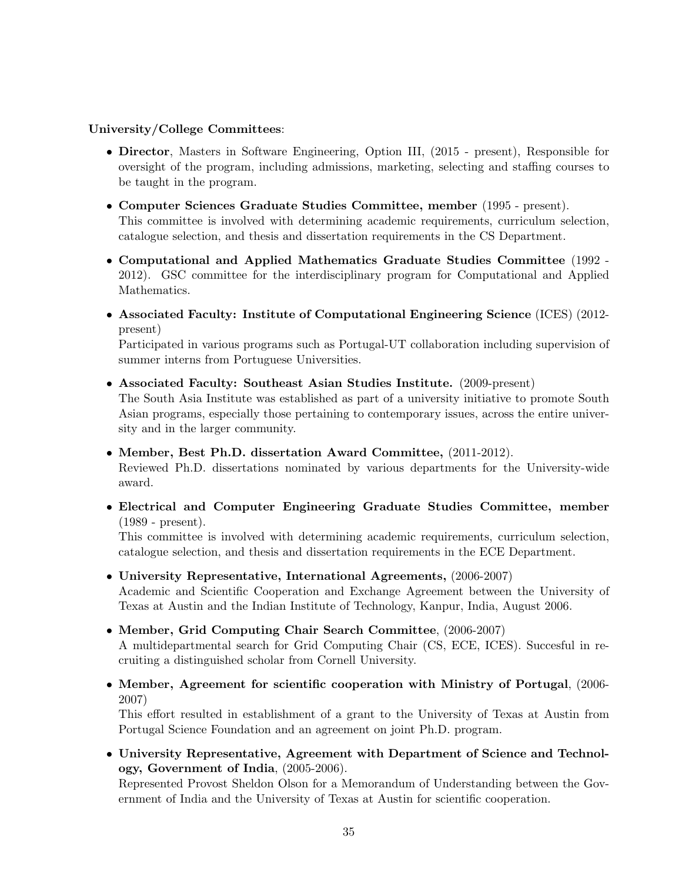## University/College Committees:

- Director, Masters in Software Engineering, Option III, (2015 present), Responsible for oversight of the program, including admissions, marketing, selecting and staffing courses to be taught in the program.
- Computer Sciences Graduate Studies Committee, member (1995 present). This committee is involved with determining academic requirements, curriculum selection, catalogue selection, and thesis and dissertation requirements in the CS Department.
- Computational and Applied Mathematics Graduate Studies Committee (1992 2012). GSC committee for the interdisciplinary program for Computational and Applied Mathematics.
- Associated Faculty: Institute of Computational Engineering Science (ICES) (2012 present)

Participated in various programs such as Portugal-UT collaboration including supervision of summer interns from Portuguese Universities.

• Associated Faculty: Southeast Asian Studies Institute. (2009-present)

The South Asia Institute was established as part of a university initiative to promote South Asian programs, especially those pertaining to contemporary issues, across the entire university and in the larger community.

• Member, Best Ph.D. dissertation Award Committee, (2011-2012).

Reviewed Ph.D. dissertations nominated by various departments for the University-wide award.

• Electrical and Computer Engineering Graduate Studies Committee, member (1989 - present).

This committee is involved with determining academic requirements, curriculum selection, catalogue selection, and thesis and dissertation requirements in the ECE Department.

• University Representative, International Agreements, (2006-2007)

Academic and Scientific Cooperation and Exchange Agreement between the University of Texas at Austin and the Indian Institute of Technology, Kanpur, India, August 2006.

- Member, Grid Computing Chair Search Committee, (2006-2007) A multidepartmental search for Grid Computing Chair (CS, ECE, ICES). Succesful in recruiting a distinguished scholar from Cornell University.
- Member, Agreement for scientific cooperation with Ministry of Portugal, (2006- 2007)

This effort resulted in establishment of a grant to the University of Texas at Austin from Portugal Science Foundation and an agreement on joint Ph.D. program.

• University Representative, Agreement with Department of Science and Technology, Government of India, (2005-2006).

Represented Provost Sheldon Olson for a Memorandum of Understanding between the Government of India and the University of Texas at Austin for scientific cooperation.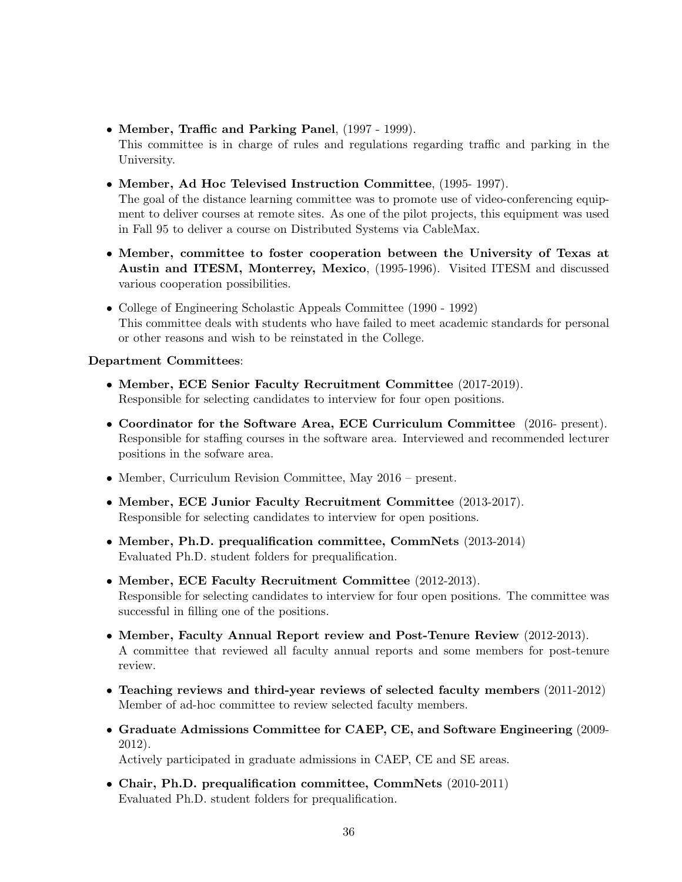• Member, Traffic and Parking Panel, (1997 - 1999).

This committee is in charge of rules and regulations regarding traffic and parking in the University.

• Member, Ad Hoc Televised Instruction Committee, (1995- 1997).

The goal of the distance learning committee was to promote use of video-conferencing equipment to deliver courses at remote sites. As one of the pilot projects, this equipment was used in Fall 95 to deliver a course on Distributed Systems via CableMax.

- Member, committee to foster cooperation between the University of Texas at Austin and ITESM, Monterrey, Mexico, (1995-1996). Visited ITESM and discussed various cooperation possibilities.
- College of Engineering Scholastic Appeals Committee (1990 1992) This committee deals with students who have failed to meet academic standards for personal or other reasons and wish to be reinstated in the College.

# Department Committees:

- Member, ECE Senior Faculty Recruitment Committee (2017-2019). Responsible for selecting candidates to interview for four open positions.
- Coordinator for the Software Area, ECE Curriculum Committee (2016- present). Responsible for staffing courses in the software area. Interviewed and recommended lecturer positions in the sofware area.
- Member, Curriculum Revision Committee, May 2016 present.
- Member, ECE Junior Faculty Recruitment Committee (2013-2017). Responsible for selecting candidates to interview for open positions.
- Member, Ph.D. prequalification committee, CommNets (2013-2014) Evaluated Ph.D. student folders for prequalification.
- Member, ECE Faculty Recruitment Committee (2012-2013). Responsible for selecting candidates to interview for four open positions. The committee was successful in filling one of the positions.
- Member, Faculty Annual Report review and Post-Tenure Review (2012-2013). A committee that reviewed all faculty annual reports and some members for post-tenure review.
- Teaching reviews and third-year reviews of selected faculty members (2011-2012) Member of ad-hoc committee to review selected faculty members.
- Graduate Admissions Committee for CAEP, CE, and Software Engineering (2009- 2012).

Actively participated in graduate admissions in CAEP, CE and SE areas.

• Chair, Ph.D. prequalification committee, CommNets (2010-2011) Evaluated Ph.D. student folders for prequalification.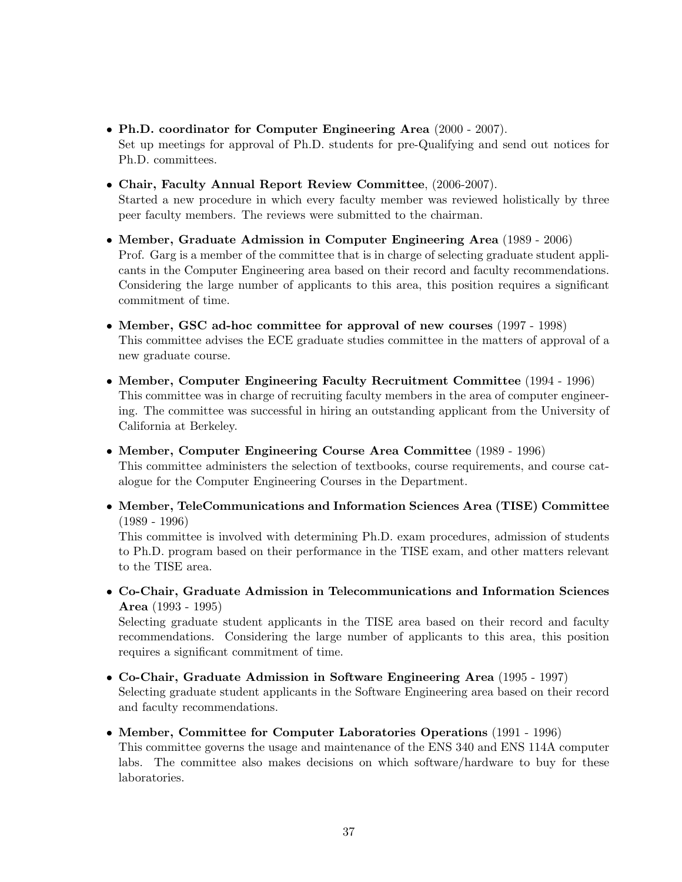- Ph.D. coordinator for Computer Engineering Area (2000 2007). Set up meetings for approval of Ph.D. students for pre-Qualifying and send out notices for Ph.D. committees.
- Chair, Faculty Annual Report Review Committee, (2006-2007). Started a new procedure in which every faculty member was reviewed holistically by three peer faculty members. The reviews were submitted to the chairman.
- Member, Graduate Admission in Computer Engineering Area (1989 2006) Prof. Garg is a member of the committee that is in charge of selecting graduate student applicants in the Computer Engineering area based on their record and faculty recommendations. Considering the large number of applicants to this area, this position requires a significant commitment of time.
- Member, GSC ad-hoc committee for approval of new courses (1997 1998) This committee advises the ECE graduate studies committee in the matters of approval of a new graduate course.
- Member, Computer Engineering Faculty Recruitment Committee (1994 1996) This committee was in charge of recruiting faculty members in the area of computer engineering. The committee was successful in hiring an outstanding applicant from the University of California at Berkeley.
- Member, Computer Engineering Course Area Committee (1989 1996) This committee administers the selection of textbooks, course requirements, and course catalogue for the Computer Engineering Courses in the Department.
- Member, TeleCommunications and Information Sciences Area (TISE) Committee (1989 - 1996)

This committee is involved with determining Ph.D. exam procedures, admission of students to Ph.D. program based on their performance in the TISE exam, and other matters relevant to the TISE area.

• Co-Chair, Graduate Admission in Telecommunications and Information Sciences Area (1993 - 1995)

Selecting graduate student applicants in the TISE area based on their record and faculty recommendations. Considering the large number of applicants to this area, this position requires a significant commitment of time.

- Co-Chair, Graduate Admission in Software Engineering Area (1995 1997) Selecting graduate student applicants in the Software Engineering area based on their record and faculty recommendations.
- Member, Committee for Computer Laboratories Operations (1991 1996) This committee governs the usage and maintenance of the ENS 340 and ENS 114A computer

labs. The committee also makes decisions on which software/hardware to buy for these laboratories.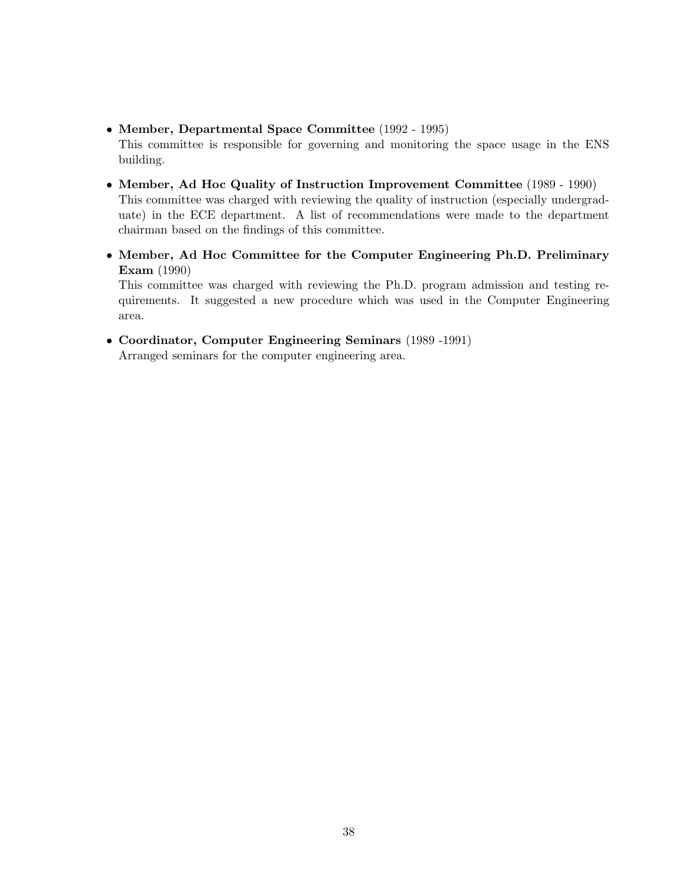• Member, Departmental Space Committee (1992 - 1995)

This committee is responsible for governing and monitoring the space usage in the ENS building.

- Member, Ad Hoc Quality of Instruction Improvement Committee (1989 1990) This committee was charged with reviewing the quality of instruction (especially undergraduate) in the ECE department. A list of recommendations were made to the department chairman based on the findings of this committee.
- Member, Ad Hoc Committee for the Computer Engineering Ph.D. Preliminary Exam (1990)

This committee was charged with reviewing the Ph.D. program admission and testing requirements. It suggested a new procedure which was used in the Computer Engineering area.

• Coordinator, Computer Engineering Seminars (1989 -1991)

Arranged seminars for the computer engineering area.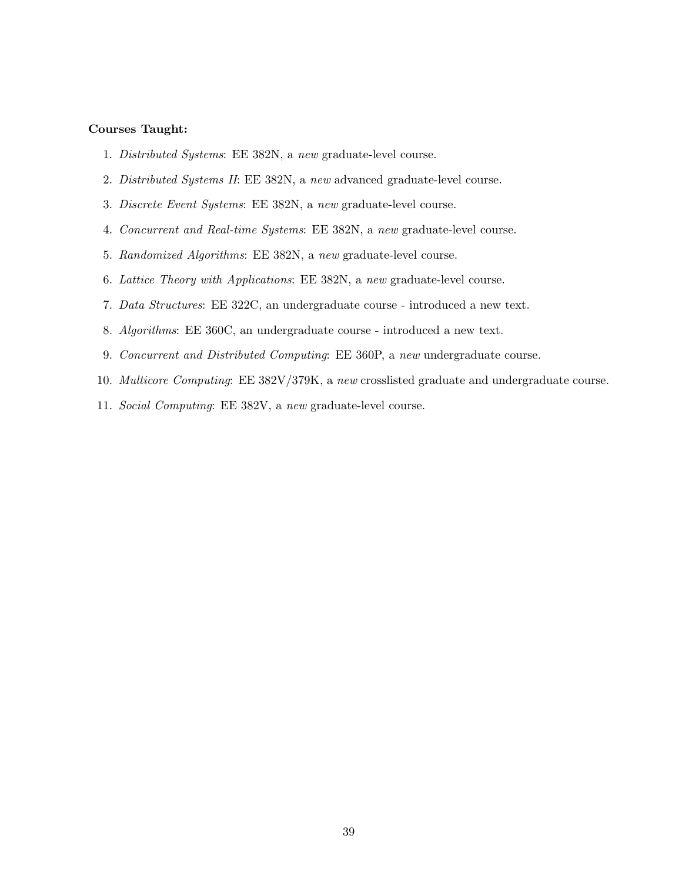#### Courses Taught:

- 1. Distributed Systems: EE 382N, a new graduate-level course.
- 2. Distributed Systems II: EE 382N, a new advanced graduate-level course.
- 3. Discrete Event Systems: EE 382N, a new graduate-level course.
- 4. Concurrent and Real-time Systems: EE 382N, a new graduate-level course.
- 5. Randomized Algorithms: EE 382N, a new graduate-level course.
- 6. Lattice Theory with Applications: EE 382N, a new graduate-level course.
- 7. Data Structures: EE 322C, an undergraduate course introduced a new text.
- 8. Algorithms: EE 360C, an undergraduate course introduced a new text.
- 9. Concurrent and Distributed Computing: EE 360P, a new undergraduate course.
- 10. Multicore Computing: EE 382V/379K, a new crosslisted graduate and undergraduate course.
- 11. Social Computing: EE 382V, a new graduate-level course.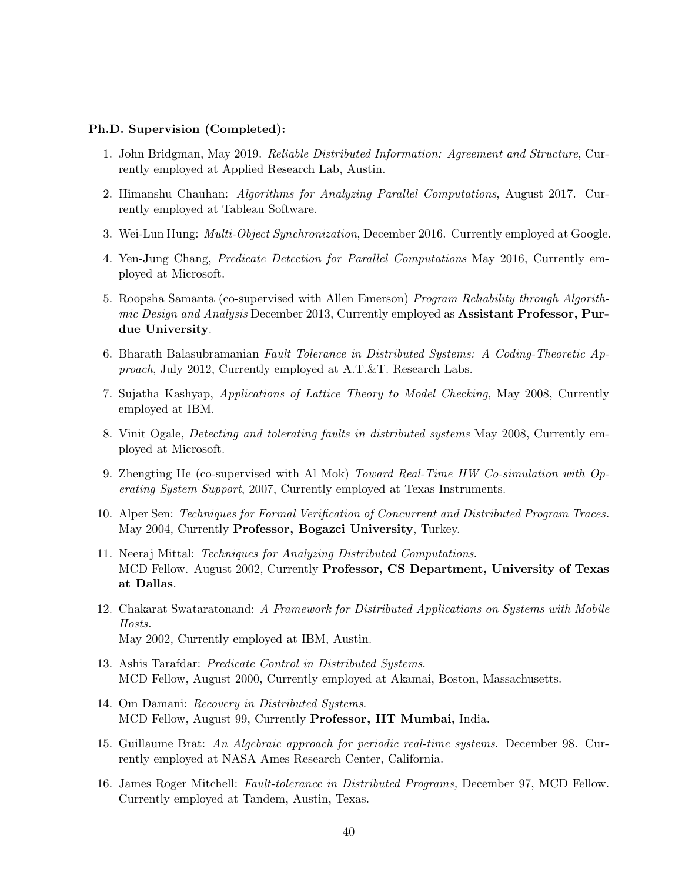### Ph.D. Supervision (Completed):

- 1. John Bridgman, May 2019. Reliable Distributed Information: Agreement and Structure, Currently employed at Applied Research Lab, Austin.
- 2. Himanshu Chauhan: Algorithms for Analyzing Parallel Computations, August 2017. Currently employed at Tableau Software.
- 3. Wei-Lun Hung: Multi-Object Synchronization, December 2016. Currently employed at Google.
- 4. Yen-Jung Chang, Predicate Detection for Parallel Computations May 2016, Currently employed at Microsoft.
- 5. Roopsha Samanta (co-supervised with Allen Emerson) Program Reliability through Algorithmic Design and Analysis December 2013, Currently employed as Assistant Professor, Purdue University.
- 6. Bharath Balasubramanian Fault Tolerance in Distributed Systems: A Coding-Theoretic Approach, July 2012, Currently employed at A.T.&T. Research Labs.
- 7. Sujatha Kashyap, Applications of Lattice Theory to Model Checking, May 2008, Currently employed at IBM.
- 8. Vinit Ogale, Detecting and tolerating faults in distributed systems May 2008, Currently employed at Microsoft.
- 9. Zhengting He (co-supervised with Al Mok) Toward Real-Time HW Co-simulation with Operating System Support, 2007, Currently employed at Texas Instruments.
- 10. Alper Sen: Techniques for Formal Verification of Concurrent and Distributed Program Traces. May 2004, Currently Professor, Bogazci University, Turkey.
- 11. Neeraj Mittal: Techniques for Analyzing Distributed Computations. MCD Fellow. August 2002, Currently Professor, CS Department, University of Texas at Dallas.
- 12. Chakarat Swataratonand: A Framework for Distributed Applications on Systems with Mobile Hosts. May 2002, Currently employed at IBM, Austin.
- 13. Ashis Tarafdar: Predicate Control in Distributed Systems. MCD Fellow, August 2000, Currently employed at Akamai, Boston, Massachusetts.
- 14. Om Damani: Recovery in Distributed Systems. MCD Fellow, August 99, Currently Professor, IIT Mumbai, India.
- 15. Guillaume Brat: An Algebraic approach for periodic real-time systems. December 98. Currently employed at NASA Ames Research Center, California.
- 16. James Roger Mitchell: Fault-tolerance in Distributed Programs, December 97, MCD Fellow. Currently employed at Tandem, Austin, Texas.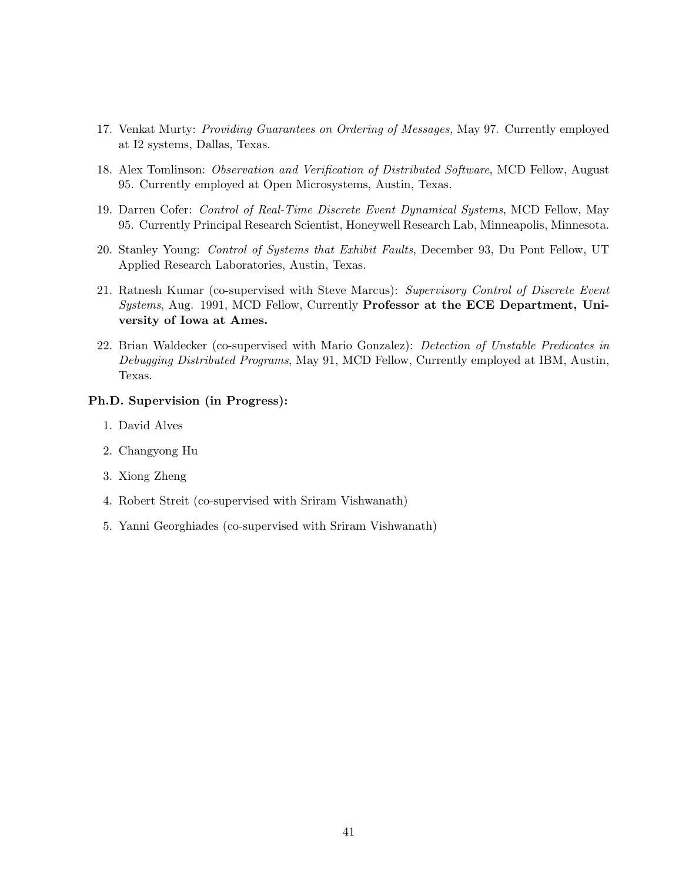- 17. Venkat Murty: Providing Guarantees on Ordering of Messages, May 97. Currently employed at I2 systems, Dallas, Texas.
- 18. Alex Tomlinson: Observation and Verification of Distributed Software, MCD Fellow, August 95. Currently employed at Open Microsystems, Austin, Texas.
- 19. Darren Cofer: Control of Real-Time Discrete Event Dynamical Systems, MCD Fellow, May 95. Currently Principal Research Scientist, Honeywell Research Lab, Minneapolis, Minnesota.
- 20. Stanley Young: Control of Systems that Exhibit Faults, December 93, Du Pont Fellow, UT Applied Research Laboratories, Austin, Texas.
- 21. Ratnesh Kumar (co-supervised with Steve Marcus): Supervisory Control of Discrete Event Systems, Aug. 1991, MCD Fellow, Currently Professor at the ECE Department, University of Iowa at Ames.
- 22. Brian Waldecker (co-supervised with Mario Gonzalez): Detection of Unstable Predicates in Debugging Distributed Programs, May 91, MCD Fellow, Currently employed at IBM, Austin, Texas.

## Ph.D. Supervision (in Progress):

- 1. David Alves
- 2. Changyong Hu
- 3. Xiong Zheng
- 4. Robert Streit (co-supervised with Sriram Vishwanath)
- 5. Yanni Georghiades (co-supervised with Sriram Vishwanath)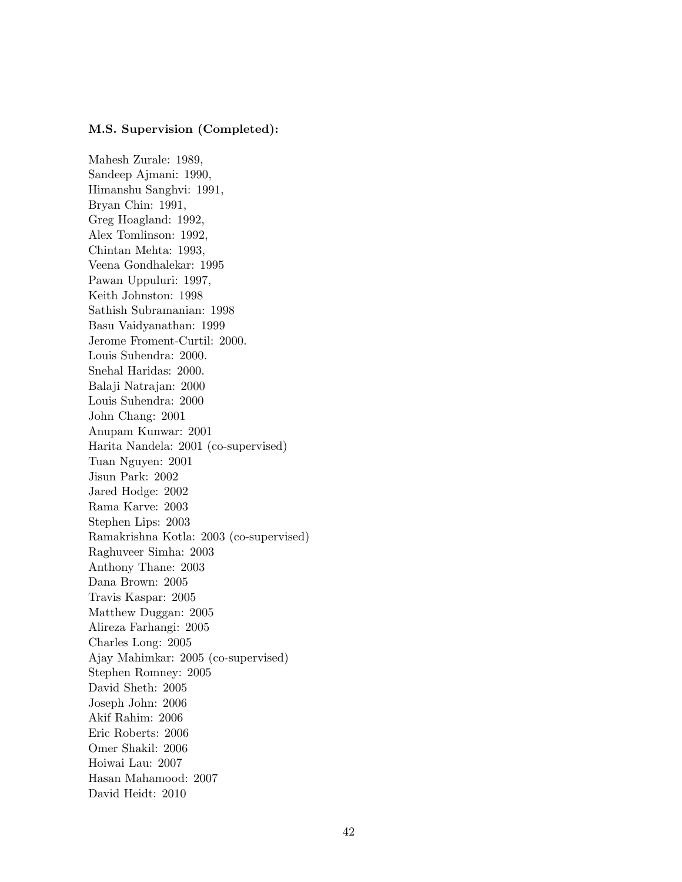### M.S. Supervision (Completed):

Mahesh Zurale: 1989, Sandeep Ajmani: 1990, Himanshu Sanghvi: 1991, Bryan Chin: 1991, Greg Hoagland: 1992, Alex Tomlinson: 1992, Chintan Mehta: 1993, Veena Gondhalekar: 1995 Pawan Uppuluri: 1997, Keith Johnston: 1998 Sathish Subramanian: 1998 Basu Vaidyanathan: 1999 Jerome Froment-Curtil: 2000. Louis Suhendra: 2000. Snehal Haridas: 2000. Balaji Natrajan: 2000 Louis Suhendra: 2000 John Chang: 2001 Anupam Kunwar: 2001 Harita Nandela: 2001 (co-supervised) Tuan Nguyen: 2001 Jisun Park: 2002 Jared Hodge: 2002 Rama Karve: 2003 Stephen Lips: 2003 Ramakrishna Kotla: 2003 (co-supervised) Raghuveer Simha: 2003 Anthony Thane: 2003 Dana Brown: 2005 Travis Kaspar: 2005 Matthew Duggan: 2005 Alireza Farhangi: 2005 Charles Long: 2005 Ajay Mahimkar: 2005 (co-supervised) Stephen Romney: 2005 David Sheth: 2005 Joseph John: 2006 Akif Rahim: 2006 Eric Roberts: 2006 Omer Shakil: 2006 Hoiwai Lau: 2007 Hasan Mahamood: 2007 David Heidt: 2010